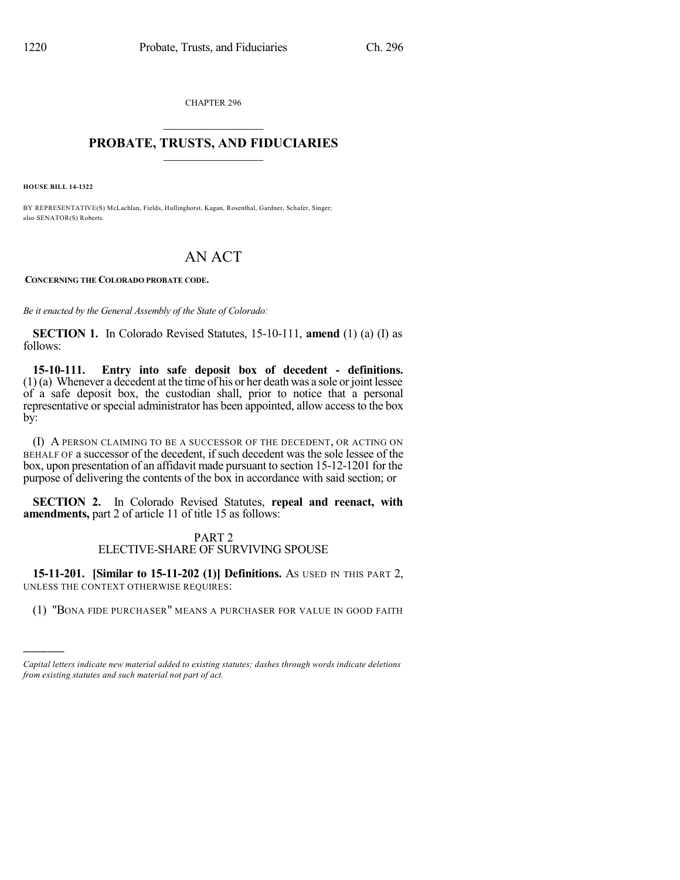CHAPTER 296  $\mathcal{L}_\text{max}$  . The set of the set of the set of the set of the set of the set of the set of the set of the set of the set of the set of the set of the set of the set of the set of the set of the set of the set of the set

## **PROBATE, TRUSTS, AND FIDUCIARIES**  $\overline{\phantom{a}}$

**HOUSE BILL 14-1322**

)))))

BY REPRESENTATIVE(S) McLachlan, Fields, Hullinghorst, Kagan, Rosenthal, Gardner, Schafer, Singer; also SENATOR(S) Roberts.

# AN ACT

**CONCERNING THE COLORADO PROBATE CODE.**

*Be it enacted by the General Assembly of the State of Colorado:*

**SECTION 1.** In Colorado Revised Statutes, 15-10-111, **amend** (1) (a) (I) as follows:

**15-10-111. Entry into safe deposit box of decedent - definitions.**  $(1)$  (a) Whenever a decedent at the time of his or her death was a sole or joint lessee of a safe deposit box, the custodian shall, prior to notice that a personal representative or special administrator has been appointed, allow access to the box by:

(I) A PERSON CLAIMING TO BE A SUCCESSOR OF THE DECEDENT, OR ACTING ON BEHALF OF a successor of the decedent, if such decedent was the sole lessee of the box, upon presentation of an affidavit made pursuant to section 15-12-1201 for the purpose of delivering the contents of the box in accordance with said section; or

**SECTION 2.** In Colorado Revised Statutes, **repeal and reenact, with amendments,** part 2 of article 11 of title 15 as follows:

# PART 2 ELECTIVE-SHARE OF SURVIVING SPOUSE

**15-11-201. [Similar to 15-11-202 (1)] Definitions.** AS USED IN THIS PART 2, UNLESS THE CONTEXT OTHERWISE REQUIRES:

(1) "BONA FIDE PURCHASER" MEANS A PURCHASER FOR VALUE IN GOOD FAITH

*Capital letters indicate new material added to existing statutes; dashes through words indicate deletions from existing statutes and such material not part of act.*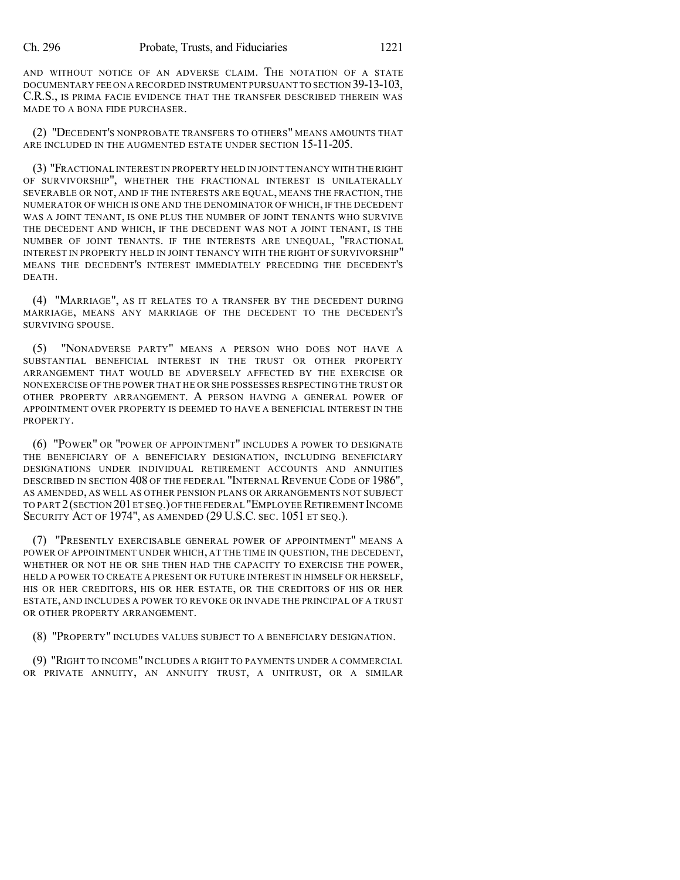AND WITHOUT NOTICE OF AN ADVERSE CLAIM. THE NOTATION OF A STATE DOCUMENTARY FEE ON A RECORDED INSTRUMENT PURSUANT TO SECTION 39-13-103, C.R.S., IS PRIMA FACIE EVIDENCE THAT THE TRANSFER DESCRIBED THEREIN WAS MADE TO A BONA FIDE PURCHASER.

(2) "DECEDENT'S NONPROBATE TRANSFERS TO OTHERS" MEANS AMOUNTS THAT ARE INCLUDED IN THE AUGMENTED ESTATE UNDER SECTION 15-11-205.

(3) "FRACTIONAL INTEREST IN PROPERTY HELD IN JOINT TENANCY WITH THE RIGHT OF SURVIVORSHIP", WHETHER THE FRACTIONAL INTEREST IS UNILATERALLY SEVERABLE OR NOT, AND IF THE INTERESTS ARE EQUAL, MEANS THE FRACTION, THE NUMERATOR OF WHICH IS ONE AND THE DENOMINATOR OF WHICH, IF THE DECEDENT WAS A JOINT TENANT, IS ONE PLUS THE NUMBER OF JOINT TENANTS WHO SURVIVE THE DECEDENT AND WHICH, IF THE DECEDENT WAS NOT A JOINT TENANT, IS THE NUMBER OF JOINT TENANTS. IF THE INTERESTS ARE UNEQUAL, "FRACTIONAL INTEREST IN PROPERTY HELD IN JOINT TENANCY WITH THE RIGHT OF SURVIVORSHIP" MEANS THE DECEDENT'S INTEREST IMMEDIATELY PRECEDING THE DECEDENT'S DEATH.

(4) "MARRIAGE", AS IT RELATES TO A TRANSFER BY THE DECEDENT DURING MARRIAGE, MEANS ANY MARRIAGE OF THE DECEDENT TO THE DECEDENT'S SURVIVING SPOUSE.

(5) "NONADVERSE PARTY" MEANS A PERSON WHO DOES NOT HAVE A SUBSTANTIAL BENEFICIAL INTEREST IN THE TRUST OR OTHER PROPERTY ARRANGEMENT THAT WOULD BE ADVERSELY AFFECTED BY THE EXERCISE OR NONEXERCISE OF THE POWER THAT HE OR SHE POSSESSES RESPECTING THE TRUST OR OTHER PROPERTY ARRANGEMENT. A PERSON HAVING A GENERAL POWER OF APPOINTMENT OVER PROPERTY IS DEEMED TO HAVE A BENEFICIAL INTEREST IN THE PROPERTY.

(6) "POWER" OR "POWER OF APPOINTMENT" INCLUDES A POWER TO DESIGNATE THE BENEFICIARY OF A BENEFICIARY DESIGNATION, INCLUDING BENEFICIARY DESIGNATIONS UNDER INDIVIDUAL RETIREMENT ACCOUNTS AND ANNUITIES DESCRIBED IN SECTION 408 OF THE FEDERAL "INTERNAL REVENUE CODE OF 1986", AS AMENDED, AS WELL AS OTHER PENSION PLANS OR ARRANGEMENTS NOT SUBJECT TO PART 2 (SECTION 201 ET SEQ.) OF THE FEDERAL "EMPLOYEE RETIREMENT INCOME SECURITY ACT OF 1974", AS AMENDED (29 U.S.C. SEC. 1051 ET SEQ.).

(7) "PRESENTLY EXERCISABLE GENERAL POWER OF APPOINTMENT" MEANS A POWER OF APPOINTMENT UNDER WHICH, AT THE TIME IN QUESTION, THE DECEDENT, WHETHER OR NOT HE OR SHE THEN HAD THE CAPACITY TO EXERCISE THE POWER, HELD A POWER TO CREATE A PRESENT OR FUTURE INTEREST IN HIMSELF OR HERSELF, HIS OR HER CREDITORS, HIS OR HER ESTATE, OR THE CREDITORS OF HIS OR HER ESTATE, AND INCLUDES A POWER TO REVOKE OR INVADE THE PRINCIPAL OF A TRUST OR OTHER PROPERTY ARRANGEMENT.

(8) "PROPERTY" INCLUDES VALUES SUBJECT TO A BENEFICIARY DESIGNATION.

(9) "RIGHT TO INCOME" INCLUDES A RIGHT TO PAYMENTS UNDER A COMMERCIAL OR PRIVATE ANNUITY, AN ANNUITY TRUST, A UNITRUST, OR A SIMILAR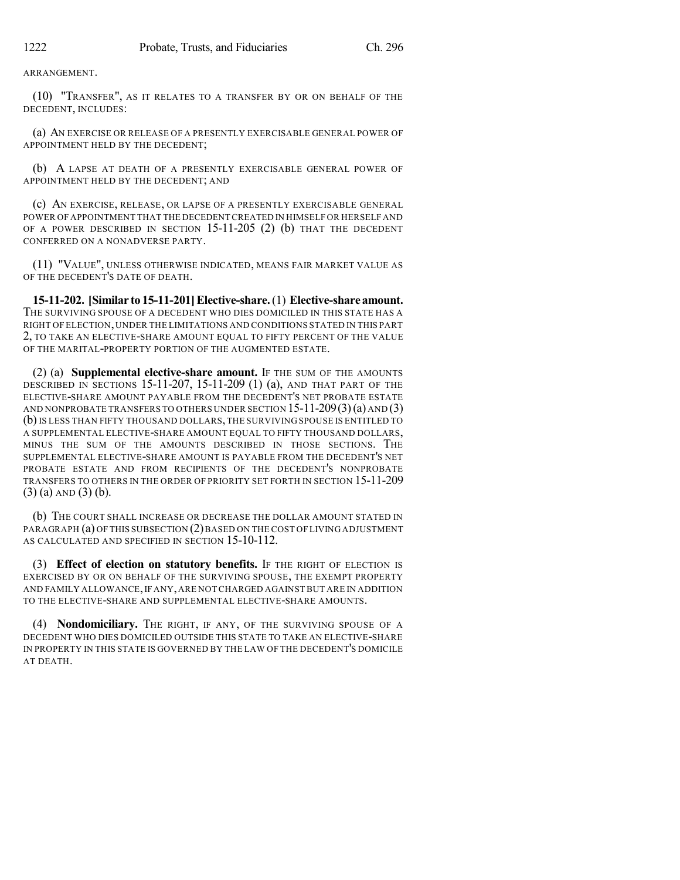ARRANGEMENT.

(10) "TRANSFER", AS IT RELATES TO A TRANSFER BY OR ON BEHALF OF THE DECEDENT, INCLUDES:

(a) AN EXERCISE OR RELEASE OF A PRESENTLY EXERCISABLE GENERAL POWER OF APPOINTMENT HELD BY THE DECEDENT;

(b) A LAPSE AT DEATH OF A PRESENTLY EXERCISABLE GENERAL POWER OF APPOINTMENT HELD BY THE DECEDENT; AND

(c) AN EXERCISE, RELEASE, OR LAPSE OF A PRESENTLY EXERCISABLE GENERAL POWER OF APPOINTMENT THAT THE DECEDENT CREATED IN HIMSELF OR HERSELF AND OF A POWER DESCRIBED IN SECTION  $15-11-205$  (2) (b) THAT THE DECEDENT CONFERRED ON A NONADVERSE PARTY.

(11) "VALUE", UNLESS OTHERWISE INDICATED, MEANS FAIR MARKET VALUE AS OF THE DECEDENT'S DATE OF DEATH.

**15-11-202. [Similar to 15-11-201]Elective-share.**(1) **Elective-share amount.** THE SURVIVING SPOUSE OF A DECEDENT WHO DIES DOMICILED IN THIS STATE HAS A RIGHT OFELECTION, UNDER THE LIMITATIONS AND CONDITIONS STATED IN THIS PART 2, TO TAKE AN ELECTIVE-SHARE AMOUNT EQUAL TO FIFTY PERCENT OF THE VALUE OF THE MARITAL-PROPERTY PORTION OF THE AUGMENTED ESTATE.

(2) (a) **Supplemental elective-share amount.** IF THE SUM OF THE AMOUNTS DESCRIBED IN SECTIONS 15-11-207, 15-11-209 (1) (a), AND THAT PART OF THE ELECTIVE-SHARE AMOUNT PAYABLE FROM THE DECEDENT'S NET PROBATE ESTATE AND NONPROBATE TRANSFERS TO OTHERS UNDER SECTION 15-11-209(3)(a) AND (3) (b)IS LESS THAN FIFTY THOUSAND DOLLARS, THE SURVIVING SPOUSE IS ENTITLED TO A SUPPLEMENTAL ELECTIVE-SHARE AMOUNT EQUAL TO FIFTY THOUSAND DOLLARS, MINUS THE SUM OF THE AMOUNTS DESCRIBED IN THOSE SECTIONS. THE SUPPLEMENTAL ELECTIVE-SHARE AMOUNT IS PAYABLE FROM THE DECEDENT'S NET PROBATE ESTATE AND FROM RECIPIENTS OF THE DECEDENT'S NONPROBATE TRANSFERS TO OTHERS IN THE ORDER OF PRIORITY SET FORTH IN SECTION 15-11-209 (3) (a) AND (3) (b).

(b) THE COURT SHALL INCREASE OR DECREASE THE DOLLAR AMOUNT STATED IN PARAGRAPH (a) OF THIS SUBSECTION (2)BASED ON THE COST OF LIVING ADJUSTMENT AS CALCULATED AND SPECIFIED IN SECTION 15-10-112.

(3) **Effect of election on statutory benefits.** IF THE RIGHT OF ELECTION IS EXERCISED BY OR ON BEHALF OF THE SURVIVING SPOUSE, THE EXEMPT PROPERTY AND FAMILY ALLOWANCE, IF ANY, ARE NOT CHARGED AGAINST BUT ARE IN ADDITION TO THE ELECTIVE-SHARE AND SUPPLEMENTAL ELECTIVE-SHARE AMOUNTS.

(4) **Nondomiciliary.** THE RIGHT, IF ANY, OF THE SURVIVING SPOUSE OF A DECEDENT WHO DIES DOMICILED OUTSIDE THIS STATE TO TAKE AN ELECTIVE-SHARE IN PROPERTY IN THIS STATE IS GOVERNED BY THE LAW OF THE DECEDENT'S DOMICILE AT DEATH.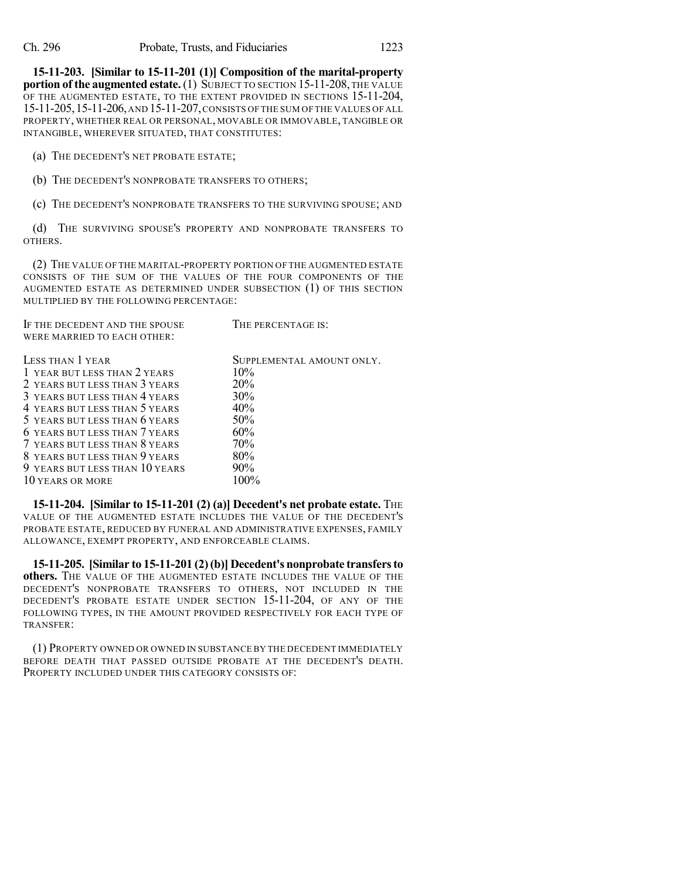**15-11-203. [Similar to 15-11-201 (1)] Composition of the marital-property portion of the augmented estate.** (1) SUBJECT TO SECTION 15-11-208, THE VALUE OF THE AUGMENTED ESTATE, TO THE EXTENT PROVIDED IN SECTIONS 15-11-204, 15-11-205,15-11-206,AND 15-11-207,CONSISTS OF THE SUM OF THE VALUES OF ALL PROPERTY, WHETHER REAL OR PERSONAL, MOVABLE OR IMMOVABLE, TANGIBLE OR INTANGIBLE, WHEREVER SITUATED, THAT CONSTITUTES:

(a) THE DECEDENT'S NET PROBATE ESTATE;

(b) THE DECEDENT'S NONPROBATE TRANSFERS TO OTHERS;

(c) THE DECEDENT'S NONPROBATE TRANSFERS TO THE SURVIVING SPOUSE; AND

(d) THE SURVIVING SPOUSE'S PROPERTY AND NONPROBATE TRANSFERS TO OTHERS.

(2) THE VALUE OF THE MARITAL-PROPERTY PORTION OF THE AUGMENTED ESTATE CONSISTS OF THE SUM OF THE VALUES OF THE FOUR COMPONENTS OF THE AUGMENTED ESTATE AS DETERMINED UNDER SUBSECTION (1) OF THIS SECTION MULTIPLIED BY THE FOLLOWING PERCENTAGE:

| IF THE DECEDENT AND THE SPOUSE | THE PERCENTAGE IS:        |
|--------------------------------|---------------------------|
| WERE MARRIED TO EACH OTHER:    |                           |
|                                |                           |
| LESS THAN 1 YEAR               | SUPPLEMENTAL AMOUNT ONLY. |
| 1 YEAR BUT LESS THAN 2 YEARS   | $10\%$                    |
| 2 YEARS BUT LESS THAN 3 YEARS  | 20%                       |
| 3 YEARS BUT LESS THAN 4 YEARS  | 30%                       |
| 4 YEARS BUT LESS THAN 5 YEARS  | 40%                       |
| 5 YEARS BUT LESS THAN 6 YEARS  | 50%                       |
| 6 YEARS BUT LESS THAN 7 YEARS  | 60%                       |
| 7 YEARS BUT LESS THAN 8 YEARS  | 70%                       |
| 8 YEARS BUT LESS THAN 9 YEARS  | 80%                       |
| 9 YEARS BUT LESS THAN 10 YEARS | $90\%$                    |
| 10 YEARS OR MORE               | $100\%$                   |
|                                |                           |

**15-11-204. [Similar to 15-11-201 (2) (a)] Decedent's net probate estate.** THE VALUE OF THE AUGMENTED ESTATE INCLUDES THE VALUE OF THE DECEDENT'S PROBATE ESTATE, REDUCED BY FUNERAL AND ADMINISTRATIVE EXPENSES, FAMILY ALLOWANCE, EXEMPT PROPERTY, AND ENFORCEABLE CLAIMS.

**15-11-205. [Similar to 15-11-201 (2)(b)] Decedent's nonprobate transfersto others.** THE VALUE OF THE AUGMENTED ESTATE INCLUDES THE VALUE OF THE DECEDENT'S NONPROBATE TRANSFERS TO OTHERS, NOT INCLUDED IN THE DECEDENT'S PROBATE ESTATE UNDER SECTION 15-11-204, OF ANY OF THE FOLLOWING TYPES, IN THE AMOUNT PROVIDED RESPECTIVELY FOR EACH TYPE OF TRANSFER:

(1) PROPERTY OWNED OR OWNED IN SUBSTANCE BY THE DECEDENT IMMEDIATELY BEFORE DEATH THAT PASSED OUTSIDE PROBATE AT THE DECEDENT'S DEATH. PROPERTY INCLUDED UNDER THIS CATEGORY CONSISTS OF: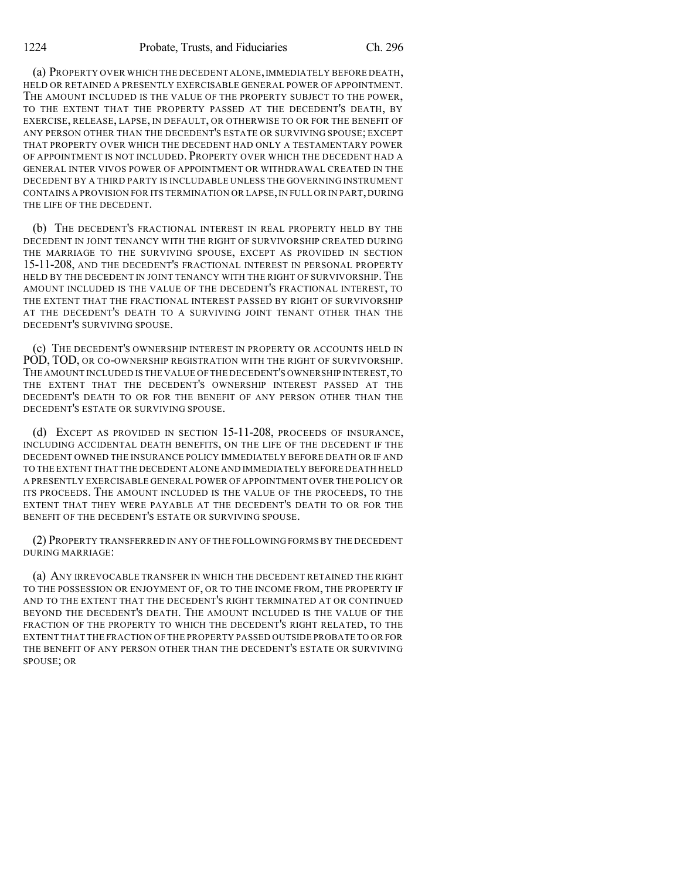(a) PROPERTY OVER WHICH THE DECEDENT ALONE,IMMEDIATELY BEFORE DEATH, HELD OR RETAINED A PRESENTLY EXERCISABLE GENERAL POWER OF APPOINTMENT. THE AMOUNT INCLUDED IS THE VALUE OF THE PROPERTY SUBJECT TO THE POWER, TO THE EXTENT THAT THE PROPERTY PASSED AT THE DECEDENT'S DEATH, BY EXERCISE, RELEASE, LAPSE, IN DEFAULT, OR OTHERWISE TO OR FOR THE BENEFIT OF ANY PERSON OTHER THAN THE DECEDENT'S ESTATE OR SURVIVING SPOUSE; EXCEPT THAT PROPERTY OVER WHICH THE DECEDENT HAD ONLY A TESTAMENTARY POWER OF APPOINTMENT IS NOT INCLUDED. PROPERTY OVER WHICH THE DECEDENT HAD A GENERAL INTER VIVOS POWER OF APPOINTMENT OR WITHDRAWAL CREATED IN THE DECEDENT BY A THIRD PARTY IS INCLUDABLE UNLESS THE GOVERNING INSTRUMENT CONTAINS A PROVISION FOR ITS TERMINATION OR LAPSE, IN FULL OR IN PART, DURING THE LIFE OF THE DECEDENT.

(b) THE DECEDENT'S FRACTIONAL INTEREST IN REAL PROPERTY HELD BY THE DECEDENT IN JOINT TENANCY WITH THE RIGHT OF SURVIVORSHIP CREATED DURING THE MARRIAGE TO THE SURVIVING SPOUSE, EXCEPT AS PROVIDED IN SECTION 15-11-208, AND THE DECEDENT'S FRACTIONAL INTEREST IN PERSONAL PROPERTY HELD BY THE DECEDENT IN JOINT TENANCY WITH THE RIGHT OF SURVIVORSHIP. THE AMOUNT INCLUDED IS THE VALUE OF THE DECEDENT'S FRACTIONAL INTEREST, TO THE EXTENT THAT THE FRACTIONAL INTEREST PASSED BY RIGHT OF SURVIVORSHIP AT THE DECEDENT'S DEATH TO A SURVIVING JOINT TENANT OTHER THAN THE DECEDENT'S SURVIVING SPOUSE.

(c) THE DECEDENT'S OWNERSHIP INTEREST IN PROPERTY OR ACCOUNTS HELD IN POD, TOD, OR CO-OWNERSHIP REGISTRATION WITH THE RIGHT OF SURVIVORSHIP. THE AMOUNT INCLUDED IS THE VALUE OF THE DECEDENT'S OWNERSHIP INTEREST,TO THE EXTENT THAT THE DECEDENT'S OWNERSHIP INTEREST PASSED AT THE DECEDENT'S DEATH TO OR FOR THE BENEFIT OF ANY PERSON OTHER THAN THE DECEDENT'S ESTATE OR SURVIVING SPOUSE.

(d) EXCEPT AS PROVIDED IN SECTION 15-11-208, PROCEEDS OF INSURANCE, INCLUDING ACCIDENTAL DEATH BENEFITS, ON THE LIFE OF THE DECEDENT IF THE DECEDENT OWNED THE INSURANCE POLICY IMMEDIATELY BEFORE DEATH OR IF AND TO THE EXTENT THAT THE DECEDENT ALONE AND IMMEDIATELY BEFORE DEATH HELD A PRESENTLY EXERCISABLE GENERAL POWER OF APPOINTMENT OVER THE POLICY OR ITS PROCEEDS. THE AMOUNT INCLUDED IS THE VALUE OF THE PROCEEDS, TO THE EXTENT THAT THEY WERE PAYABLE AT THE DECEDENT'S DEATH TO OR FOR THE BENEFIT OF THE DECEDENT'S ESTATE OR SURVIVING SPOUSE.

(2) PROPERTY TRANSFERRED IN ANY OFTHE FOLLOWING FORMS BY THE DECEDENT DURING MARRIAGE:

(a) ANY IRREVOCABLE TRANSFER IN WHICH THE DECEDENT RETAINED THE RIGHT TO THE POSSESSION OR ENJOYMENT OF, OR TO THE INCOME FROM, THE PROPERTY IF AND TO THE EXTENT THAT THE DECEDENT'S RIGHT TERMINATED AT OR CONTINUED BEYOND THE DECEDENT'S DEATH. THE AMOUNT INCLUDED IS THE VALUE OF THE FRACTION OF THE PROPERTY TO WHICH THE DECEDENT'S RIGHT RELATED, TO THE EXTENT THAT THE FRACTION OF THE PROPERTY PASSED OUTSIDE PROBATE TO OR FOR THE BENEFIT OF ANY PERSON OTHER THAN THE DECEDENT'S ESTATE OR SURVIVING SPOUSE; OR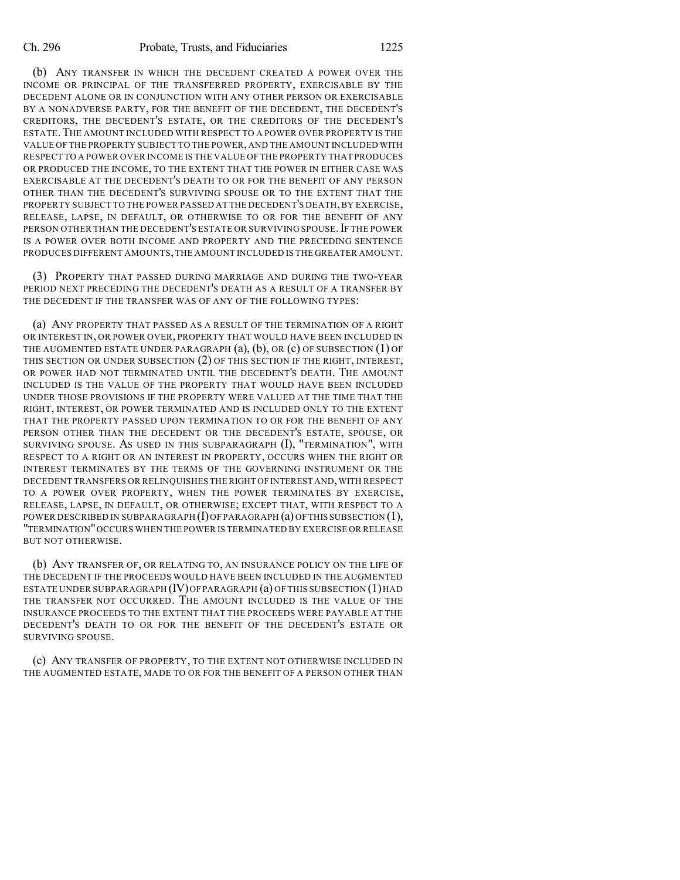(b) ANY TRANSFER IN WHICH THE DECEDENT CREATED A POWER OVER THE INCOME OR PRINCIPAL OF THE TRANSFERRED PROPERTY, EXERCISABLE BY THE DECEDENT ALONE OR IN CONJUNCTION WITH ANY OTHER PERSON OR EXERCISABLE BY A NONADVERSE PARTY, FOR THE BENEFIT OF THE DECEDENT, THE DECEDENT'S CREDITORS, THE DECEDENT'S ESTATE, OR THE CREDITORS OF THE DECEDENT'S ESTATE. THE AMOUNT INCLUDED WITH RESPECT TO A POWER OVER PROPERTY IS THE VALUE OF THE PROPERTY SUBJECT TO THE POWER,AND THE AMOUNT INCLUDED WITH RESPECT TO A POWER OVER INCOME IS THE VALUE OF THE PROPERTY THAT PRODUCES OR PRODUCED THE INCOME, TO THE EXTENT THAT THE POWER IN EITHER CASE WAS EXERCISABLE AT THE DECEDENT'S DEATH TO OR FOR THE BENEFIT OF ANY PERSON OTHER THAN THE DECEDENT'S SURVIVING SPOUSE OR TO THE EXTENT THAT THE PROPERTY SUBJECT TO THE POWER PASSED AT THE DECEDENT'S DEATH,BY EXERCISE, RELEASE, LAPSE, IN DEFAULT, OR OTHERWISE TO OR FOR THE BENEFIT OF ANY PERSON OTHER THAN THE DECEDENT'S ESTATE OR SURVIVING SPOUSE. IF THE POWER IS A POWER OVER BOTH INCOME AND PROPERTY AND THE PRECEDING SENTENCE PRODUCES DIFFERENT AMOUNTS,THE AMOUNT INCLUDED IS THE GREATER AMOUNT.

(3) PROPERTY THAT PASSED DURING MARRIAGE AND DURING THE TWO-YEAR PERIOD NEXT PRECEDING THE DECEDENT'S DEATH AS A RESULT OF A TRANSFER BY THE DECEDENT IF THE TRANSFER WAS OF ANY OF THE FOLLOWING TYPES:

(a) ANY PROPERTY THAT PASSED AS A RESULT OF THE TERMINATION OF A RIGHT OR INTEREST IN, OR POWER OVER, PROPERTY THAT WOULD HAVE BEEN INCLUDED IN THE AUGMENTED ESTATE UNDER PARAGRAPH  $(a)$ ,  $(b)$ , OR  $(c)$  OF SUBSECTION  $(1)$  OF THIS SECTION OR UNDER SUBSECTION (2) OF THIS SECTION IF THE RIGHT, INTEREST, OR POWER HAD NOT TERMINATED UNTIL THE DECEDENT'S DEATH. THE AMOUNT INCLUDED IS THE VALUE OF THE PROPERTY THAT WOULD HAVE BEEN INCLUDED UNDER THOSE PROVISIONS IF THE PROPERTY WERE VALUED AT THE TIME THAT THE RIGHT, INTEREST, OR POWER TERMINATED AND IS INCLUDED ONLY TO THE EXTENT THAT THE PROPERTY PASSED UPON TERMINATION TO OR FOR THE BENEFIT OF ANY PERSON OTHER THAN THE DECEDENT OR THE DECEDENT'S ESTATE, SPOUSE, OR SURVIVING SPOUSE. AS USED IN THIS SUBPARAGRAPH (I), "TERMINATION", WITH RESPECT TO A RIGHT OR AN INTEREST IN PROPERTY, OCCURS WHEN THE RIGHT OR INTEREST TERMINATES BY THE TERMS OF THE GOVERNING INSTRUMENT OR THE DECEDENT TRANSFERS OR RELINQUISHES THE RIGHT OF INTEREST AND, WITH RESPECT TO A POWER OVER PROPERTY, WHEN THE POWER TERMINATES BY EXERCISE, RELEASE, LAPSE, IN DEFAULT, OR OTHERWISE; EXCEPT THAT, WITH RESPECT TO A POWER DESCRIBED IN SUBPARAGRAPH  $(I)$  OF PARAGRAPH  $(a)$  OF THIS SUBSECTION  $(1)$ , "TERMINATION"OCCURS WHEN THE POWER IS TERMINATED BY EXERCISE OR RELEASE BUT NOT OTHERWISE.

(b) ANY TRANSFER OF, OR RELATING TO, AN INSURANCE POLICY ON THE LIFE OF THE DECEDENT IF THE PROCEEDS WOULD HAVE BEEN INCLUDED IN THE AUGMENTED ESTATE UNDER SUBPARAGRAPH (IV)OFPARAGRAPH (a) OF THIS SUBSECTION (1)HAD THE TRANSFER NOT OCCURRED. THE AMOUNT INCLUDED IS THE VALUE OF THE INSURANCE PROCEEDS TO THE EXTENT THAT THE PROCEEDS WERE PAYABLE AT THE DECEDENT'S DEATH TO OR FOR THE BENEFIT OF THE DECEDENT'S ESTATE OR SURVIVING SPOUSE.

(c) ANY TRANSFER OF PROPERTY, TO THE EXTENT NOT OTHERWISE INCLUDED IN THE AUGMENTED ESTATE, MADE TO OR FOR THE BENEFIT OF A PERSON OTHER THAN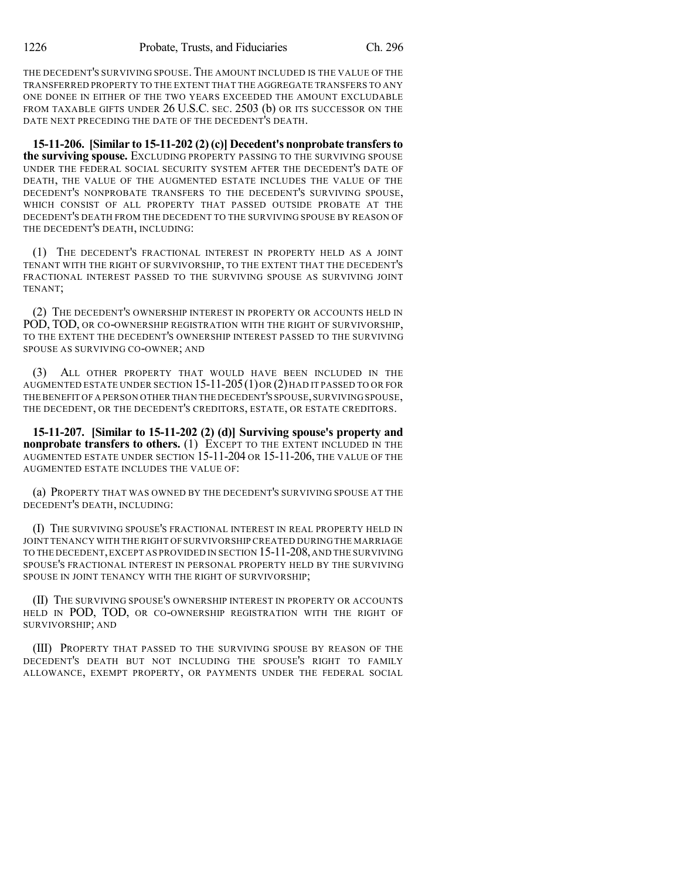THE DECEDENT'S SURVIVING SPOUSE. THE AMOUNT INCLUDED IS THE VALUE OF THE TRANSFERRED PROPERTY TO THE EXTENT THAT THE AGGREGATE TRANSFERS TO ANY ONE DONEE IN EITHER OF THE TWO YEARS EXCEEDED THE AMOUNT EXCLUDABLE FROM TAXABLE GIFTS UNDER 26 U.S.C. SEC. 2503 (b) OR ITS SUCCESSOR ON THE DATE NEXT PRECEDING THE DATE OF THE DECEDENT'S DEATH.

**15-11-206. [Similar to 15-11-202 (2)(c)] Decedent's nonprobate transfersto the surviving spouse.** EXCLUDING PROPERTY PASSING TO THE SURVIVING SPOUSE UNDER THE FEDERAL SOCIAL SECURITY SYSTEM AFTER THE DECEDENT'S DATE OF DEATH, THE VALUE OF THE AUGMENTED ESTATE INCLUDES THE VALUE OF THE DECEDENT'S NONPROBATE TRANSFERS TO THE DECEDENT'S SURVIVING SPOUSE, WHICH CONSIST OF ALL PROPERTY THAT PASSED OUTSIDE PROBATE AT THE DECEDENT'S DEATH FROM THE DECEDENT TO THE SURVIVING SPOUSE BY REASON OF THE DECEDENT'S DEATH, INCLUDING:

(1) THE DECEDENT'S FRACTIONAL INTEREST IN PROPERTY HELD AS A JOINT TENANT WITH THE RIGHT OF SURVIVORSHIP, TO THE EXTENT THAT THE DECEDENT'S FRACTIONAL INTEREST PASSED TO THE SURVIVING SPOUSE AS SURVIVING JOINT TENANT;

(2) THE DECEDENT'S OWNERSHIP INTEREST IN PROPERTY OR ACCOUNTS HELD IN POD, TOD, OR CO-OWNERSHIP REGISTRATION WITH THE RIGHT OF SURVIVORSHIP, TO THE EXTENT THE DECEDENT'S OWNERSHIP INTEREST PASSED TO THE SURVIVING SPOUSE AS SURVIVING CO-OWNER; AND

ALL OTHER PROPERTY THAT WOULD HAVE BEEN INCLUDED IN THE AUGMENTED ESTATE UNDER SECTION 15-11-205(1)OR (2)HAD IT PASSED TO OR FOR THE BENEFIT OF A PERSON OTHER THAN THE DECEDENT'S SPOUSE, SURVIVING SPOUSE, THE DECEDENT, OR THE DECEDENT'S CREDITORS, ESTATE, OR ESTATE CREDITORS.

**15-11-207. [Similar to 15-11-202 (2) (d)] Surviving spouse's property and nonprobate transfers to others.** (1) EXCEPT TO THE EXTENT INCLUDED IN THE AUGMENTED ESTATE UNDER SECTION 15-11-204 OR 15-11-206, THE VALUE OF THE AUGMENTED ESTATE INCLUDES THE VALUE OF:

(a) PROPERTY THAT WAS OWNED BY THE DECEDENT'S SURVIVING SPOUSE AT THE DECEDENT'S DEATH, INCLUDING:

(I) THE SURVIVING SPOUSE'S FRACTIONAL INTEREST IN REAL PROPERTY HELD IN JOINT TENANCY WITH THE RIGHT OF SURVIVORSHIP CREATED DURING THE MARRIAGE TO THE DECEDENT,EXCEPT AS PROVIDED IN SECTION 15-11-208,AND THE SURVIVING SPOUSE'S FRACTIONAL INTEREST IN PERSONAL PROPERTY HELD BY THE SURVIVING SPOUSE IN JOINT TENANCY WITH THE RIGHT OF SURVIVORSHIP;

(II) THE SURVIVING SPOUSE'S OWNERSHIP INTEREST IN PROPERTY OR ACCOUNTS HELD IN POD, TOD, OR CO-OWNERSHIP REGISTRATION WITH THE RIGHT OF SURVIVORSHIP; AND

(III) PROPERTY THAT PASSED TO THE SURVIVING SPOUSE BY REASON OF THE DECEDENT'S DEATH BUT NOT INCLUDING THE SPOUSE'S RIGHT TO FAMILY ALLOWANCE, EXEMPT PROPERTY, OR PAYMENTS UNDER THE FEDERAL SOCIAL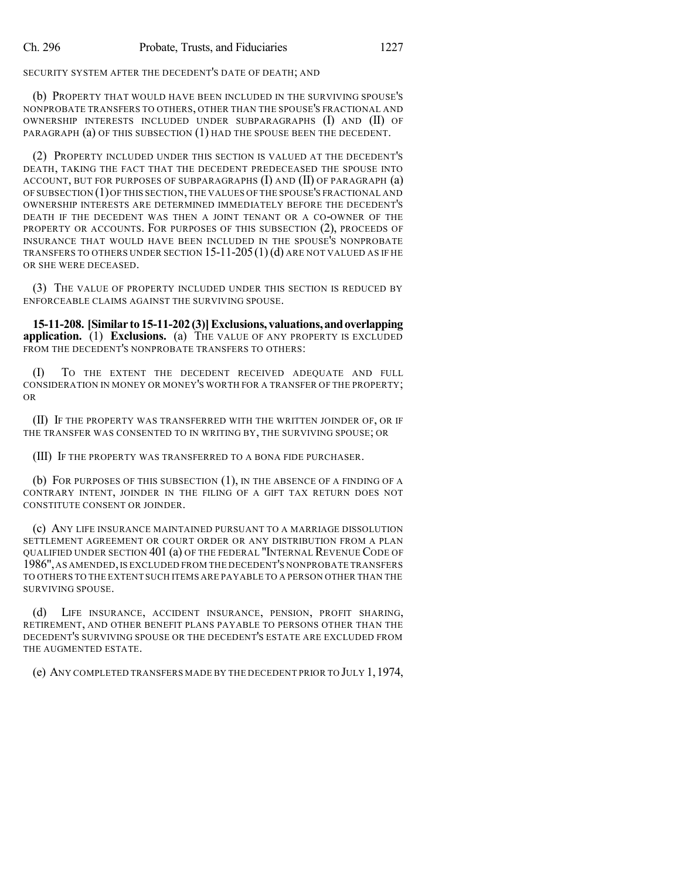#### SECURITY SYSTEM AFTER THE DECEDENT'S DATE OF DEATH; AND

(b) PROPERTY THAT WOULD HAVE BEEN INCLUDED IN THE SURVIVING SPOUSE'S NONPROBATE TRANSFERS TO OTHERS, OTHER THAN THE SPOUSE'S FRACTIONAL AND OWNERSHIP INTERESTS INCLUDED UNDER SUBPARAGRAPHS (I) AND (II) OF PARAGRAPH (a) OF THIS SUBSECTION (1) HAD THE SPOUSE BEEN THE DECEDENT.

(2) PROPERTY INCLUDED UNDER THIS SECTION IS VALUED AT THE DECEDENT'S DEATH, TAKING THE FACT THAT THE DECEDENT PREDECEASED THE SPOUSE INTO ACCOUNT, BUT FOR PURPOSES OF SUBPARAGRAPHS  $(I)$  AND  $(II)$  OF PARAGRAPH  $(a)$ OF SUBSECTION (1)OF THIS SECTION,THE VALUES OF THE SPOUSE'S FRACTIONAL AND OWNERSHIP INTERESTS ARE DETERMINED IMMEDIATELY BEFORE THE DECEDENT'S DEATH IF THE DECEDENT WAS THEN A JOINT TENANT OR A CO-OWNER OF THE PROPERTY OR ACCOUNTS. FOR PURPOSES OF THIS SUBSECTION (2), PROCEEDS OF INSURANCE THAT WOULD HAVE BEEN INCLUDED IN THE SPOUSE'S NONPROBATE TRANSFERS TO OTHERS UNDER SECTION  $15$ - $11$ - $205(1)(d)$  are not valued as if he OR SHE WERE DECEASED.

(3) THE VALUE OF PROPERTY INCLUDED UNDER THIS SECTION IS REDUCED BY ENFORCEABLE CLAIMS AGAINST THE SURVIVING SPOUSE.

**15-11-208. [Similar to15-11-202(3)]Exclusions, valuations,andoverlapping application.** (1) **Exclusions.** (a) THE VALUE OF ANY PROPERTY IS EXCLUDED FROM THE DECEDENT'S NONPROBATE TRANSFERS TO OTHERS:

(I) TO THE EXTENT THE DECEDENT RECEIVED ADEQUATE AND FULL CONSIDERATION IN MONEY OR MONEY'S WORTH FOR A TRANSFER OF THE PROPERTY; OR

(II) IF THE PROPERTY WAS TRANSFERRED WITH THE WRITTEN JOINDER OF, OR IF THE TRANSFER WAS CONSENTED TO IN WRITING BY, THE SURVIVING SPOUSE; OR

(III) IF THE PROPERTY WAS TRANSFERRED TO A BONA FIDE PURCHASER.

(b) FOR PURPOSES OF THIS SUBSECTION (1), IN THE ABSENCE OF A FINDING OF A CONTRARY INTENT, JOINDER IN THE FILING OF A GIFT TAX RETURN DOES NOT CONSTITUTE CONSENT OR JOINDER.

(c) ANY LIFE INSURANCE MAINTAINED PURSUANT TO A MARRIAGE DISSOLUTION SETTLEMENT AGREEMENT OR COURT ORDER OR ANY DISTRIBUTION FROM A PLAN QUALIFIED UNDER SECTION 401 (a) OF THE FEDERAL "INTERNAL REVENUE CODE OF 1986",AS AMENDED,IS EXCLUDED FROM THE DECEDENT'S NONPROBATE TRANSFERS TO OTHERS TO THE EXTENT SUCH ITEMS ARE PAYABLE TO A PERSON OTHER THAN THE SURVIVING SPOUSE.

(d) LIFE INSURANCE, ACCIDENT INSURANCE, PENSION, PROFIT SHARING, RETIREMENT, AND OTHER BENEFIT PLANS PAYABLE TO PERSONS OTHER THAN THE DECEDENT'S SURVIVING SPOUSE OR THE DECEDENT'S ESTATE ARE EXCLUDED FROM THE AUGMENTED ESTATE.

(e) ANY COMPLETED TRANSFERS MADE BY THE DECEDENT PRIOR TO JULY 1,1974,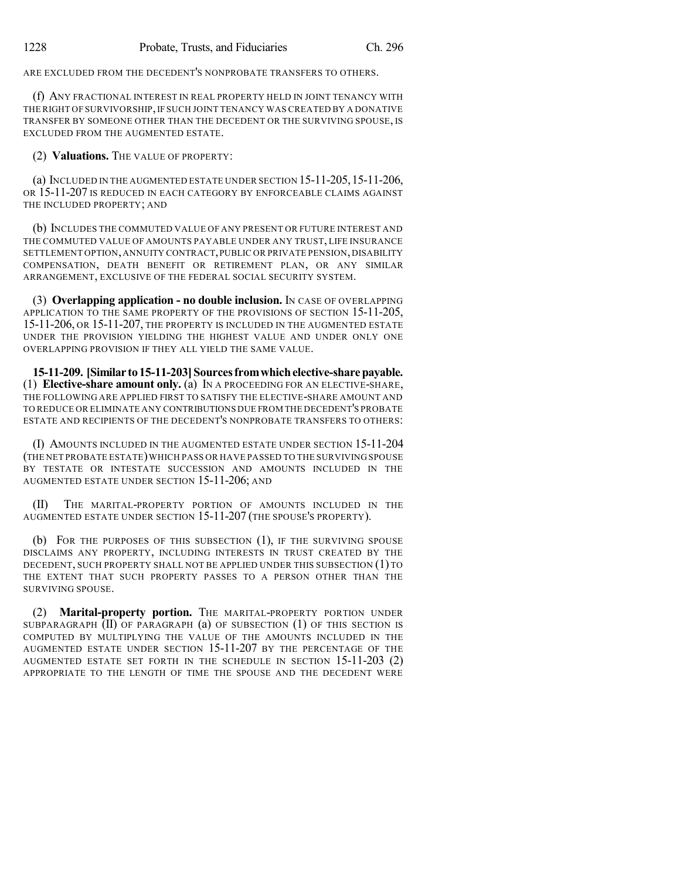ARE EXCLUDED FROM THE DECEDENT'S NONPROBATE TRANSFERS TO OTHERS.

(f) ANY FRACTIONAL INTEREST IN REAL PROPERTY HELD IN JOINT TENANCY WITH THE RIGHT OF SURVIVORSHIP,IF SUCH JOINT TENANCY WAS CREATED BY A DONATIVE TRANSFER BY SOMEONE OTHER THAN THE DECEDENT OR THE SURVIVING SPOUSE, IS EXCLUDED FROM THE AUGMENTED ESTATE.

(2) **Valuations.** THE VALUE OF PROPERTY:

(a) INCLUDED IN THE AUGMENTED ESTATE UNDER SECTION 15-11-205,15-11-206, OR 15-11-207 IS REDUCED IN EACH CATEGORY BY ENFORCEABLE CLAIMS AGAINST THE INCLUDED PROPERTY; AND

(b) INCLUDES THE COMMUTED VALUE OF ANY PRESENT OR FUTURE INTEREST AND THE COMMUTED VALUE OF AMOUNTS PAYABLE UNDER ANY TRUST, LIFE INSURANCE SETTLEMENT OPTION,ANNUITY CONTRACT,PUBLIC OR PRIVATE PENSION,DISABILITY COMPENSATION, DEATH BENEFIT OR RETIREMENT PLAN, OR ANY SIMILAR ARRANGEMENT, EXCLUSIVE OF THE FEDERAL SOCIAL SECURITY SYSTEM.

(3) **Overlapping application - no double inclusion.** IN CASE OF OVERLAPPING APPLICATION TO THE SAME PROPERTY OF THE PROVISIONS OF SECTION 15-11-205, 15-11-206, OR 15-11-207, THE PROPERTY IS INCLUDED IN THE AUGMENTED ESTATE UNDER THE PROVISION YIELDING THE HIGHEST VALUE AND UNDER ONLY ONE OVERLAPPING PROVISION IF THEY ALL YIELD THE SAME VALUE.

**15-11-209. [Similar to15-11-203]Sourcesfromwhichelective-sharepayable.** (1) **Elective-share amount only.** (a) IN A PROCEEDING FOR AN ELECTIVE-SHARE, THE FOLLOWING ARE APPLIED FIRST TO SATISFY THE ELECTIVE-SHARE AMOUNT AND TO REDUCE OR ELIMINATE ANY CONTRIBUTIONS DUE FROM THE DECEDENT'S PROBATE ESTATE AND RECIPIENTS OF THE DECEDENT'S NONPROBATE TRANSFERS TO OTHERS:

(I) AMOUNTS INCLUDED IN THE AUGMENTED ESTATE UNDER SECTION 15-11-204 (THE NET PROBATE ESTATE)WHICH PASS OR HAVE PASSED TO THE SURVIVING SPOUSE BY TESTATE OR INTESTATE SUCCESSION AND AMOUNTS INCLUDED IN THE AUGMENTED ESTATE UNDER SECTION 15-11-206; AND

THE MARITAL-PROPERTY PORTION OF AMOUNTS INCLUDED IN THE AUGMENTED ESTATE UNDER SECTION 15-11-207 (THE SPOUSE'S PROPERTY).

(b) FOR THE PURPOSES OF THIS SUBSECTION (1), IF THE SURVIVING SPOUSE DISCLAIMS ANY PROPERTY, INCLUDING INTERESTS IN TRUST CREATED BY THE DECEDENT, SUCH PROPERTY SHALL NOT BE APPLIED UNDER THIS SUBSECTION (1) TO THE EXTENT THAT SUCH PROPERTY PASSES TO A PERSON OTHER THAN THE SURVIVING SPOUSE.

(2) **Marital-property portion.** THE MARITAL-PROPERTY PORTION UNDER SUBPARAGRAPH (II) OF PARAGRAPH (a) OF SUBSECTION (1) OF THIS SECTION IS COMPUTED BY MULTIPLYING THE VALUE OF THE AMOUNTS INCLUDED IN THE AUGMENTED ESTATE UNDER SECTION 15-11-207 BY THE PERCENTAGE OF THE AUGMENTED ESTATE SET FORTH IN THE SCHEDULE IN SECTION 15-11-203 (2) APPROPRIATE TO THE LENGTH OF TIME THE SPOUSE AND THE DECEDENT WERE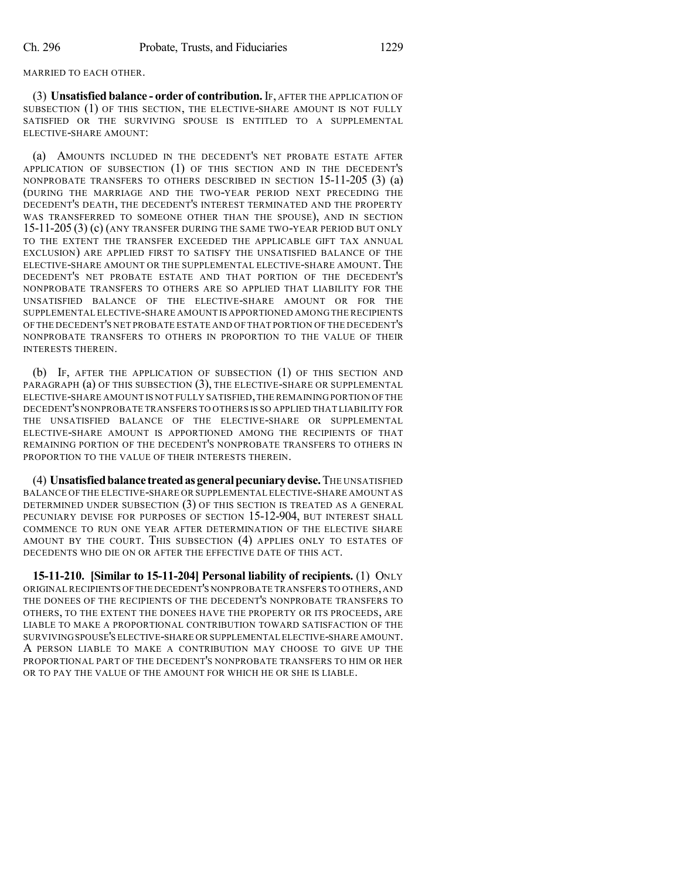MARRIED TO EACH OTHER.

(3) **Unsatisfied balance - order of contribution.** IF, AFTER THE APPLICATION OF SUBSECTION (1) OF THIS SECTION, THE ELECTIVE-SHARE AMOUNT IS NOT FULLY SATISFIED OR THE SURVIVING SPOUSE IS ENTITLED TO A SUPPLEMENTAL ELECTIVE-SHARE AMOUNT:

(a) AMOUNTS INCLUDED IN THE DECEDENT'S NET PROBATE ESTATE AFTER APPLICATION OF SUBSECTION (1) OF THIS SECTION AND IN THE DECEDENT'S NONPROBATE TRANSFERS TO OTHERS DESCRIBED IN SECTION 15-11-205 (3) (a) (DURING THE MARRIAGE AND THE TWO-YEAR PERIOD NEXT PRECEDING THE DECEDENT'S DEATH, THE DECEDENT'S INTEREST TERMINATED AND THE PROPERTY WAS TRANSFERRED TO SOMEONE OTHER THAN THE SPOUSE), AND IN SECTION 15-11-205 (3) (c) (ANY TRANSFER DURING THE SAME TWO-YEAR PERIOD BUT ONLY TO THE EXTENT THE TRANSFER EXCEEDED THE APPLICABLE GIFT TAX ANNUAL EXCLUSION) ARE APPLIED FIRST TO SATISFY THE UNSATISFIED BALANCE OF THE ELECTIVE-SHARE AMOUNT OR THE SUPPLEMENTAL ELECTIVE-SHARE AMOUNT. THE DECEDENT'S NET PROBATE ESTATE AND THAT PORTION OF THE DECEDENT'S NONPROBATE TRANSFERS TO OTHERS ARE SO APPLIED THAT LIABILITY FOR THE UNSATISFIED BALANCE OF THE ELECTIVE-SHARE AMOUNT OR FOR THE SUPPLEMENTAL ELECTIVE-SHARE AMOUNT IS APPORTIONED AMONG THE RECIPIENTS OF THE DECEDENT'S NET PROBATE ESTATE AND OF THAT PORTION OF THE DECEDENT'S NONPROBATE TRANSFERS TO OTHERS IN PROPORTION TO THE VALUE OF THEIR INTERESTS THEREIN.

(b) IF, AFTER THE APPLICATION OF SUBSECTION (1) OF THIS SECTION AND PARAGRAPH (a) OF THIS SUBSECTION (3), THE ELECTIVE-SHARE OR SUPPLEMENTAL ELECTIVE-SHARE AMOUNT IS NOT FULLY SATISFIED,THE REMAINING PORTION OF THE DECEDENT'S NONPROBATE TRANSFERS TO OTHERS IS SO APPLIED THAT LIABILITY FOR THE UNSATISFIED BALANCE OF THE ELECTIVE-SHARE OR SUPPLEMENTAL ELECTIVE-SHARE AMOUNT IS APPORTIONED AMONG THE RECIPIENTS OF THAT REMAINING PORTION OF THE DECEDENT'S NONPROBATE TRANSFERS TO OTHERS IN PROPORTION TO THE VALUE OF THEIR INTERESTS THEREIN.

(4) **Unsatisfiedbalance treatedasgeneralpecuniarydevise.**THE UNSATISFIED BALANCE OF THE ELECTIVE-SHARE OR SUPPLEMENTAL ELECTIVE-SHARE AMOUNT AS DETERMINED UNDER SUBSECTION (3) OF THIS SECTION IS TREATED AS A GENERAL PECUNIARY DEVISE FOR PURPOSES OF SECTION 15-12-904, BUT INTEREST SHALL COMMENCE TO RUN ONE YEAR AFTER DETERMINATION OF THE ELECTIVE SHARE AMOUNT BY THE COURT. THIS SUBSECTION (4) APPLIES ONLY TO ESTATES OF DECEDENTS WHO DIE ON OR AFTER THE EFFECTIVE DATE OF THIS ACT.

**15-11-210. [Similar to 15-11-204] Personal liability of recipients.** (1) ONLY ORIGINALRECIPIENTS OFTHE DECEDENT'S NONPROBATE TRANSFERS TO OTHERS,AND THE DONEES OF THE RECIPIENTS OF THE DECEDENT'S NONPROBATE TRANSFERS TO OTHERS, TO THE EXTENT THE DONEES HAVE THE PROPERTY OR ITS PROCEEDS, ARE LIABLE TO MAKE A PROPORTIONAL CONTRIBUTION TOWARD SATISFACTION OF THE SURVIVINGSPOUSE'S ELECTIVE-SHARE OR SUPPLEMENTAL ELECTIVE-SHARE AMOUNT. A PERSON LIABLE TO MAKE A CONTRIBUTION MAY CHOOSE TO GIVE UP THE PROPORTIONAL PART OF THE DECEDENT'S NONPROBATE TRANSFERS TO HIM OR HER OR TO PAY THE VALUE OF THE AMOUNT FOR WHICH HE OR SHE IS LIABLE.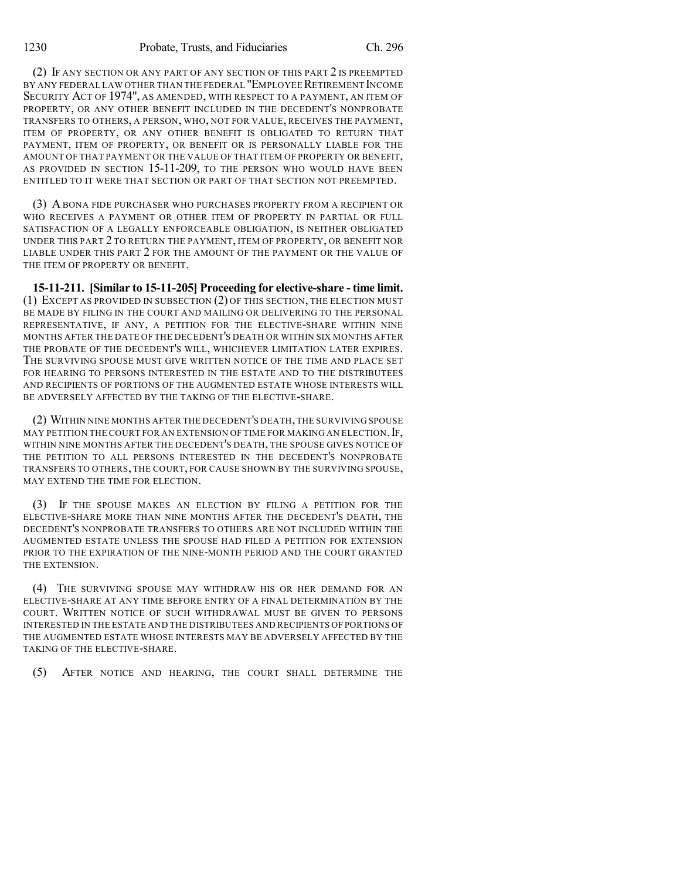(2) IF ANY SECTION OR ANY PART OF ANY SECTION OF THIS PART 2 IS PREEMPTED BY ANY FEDERAL LAW OTHER THAN THE FEDERAL "EMPLOYEE RETIREMENT INCOME SECURITY ACT OF 1974", AS AMENDED, WITH RESPECT TO A PAYMENT, AN ITEM OF PROPERTY, OR ANY OTHER BENEFIT INCLUDED IN THE DECEDENT'S NONPROBATE TRANSFERS TO OTHERS, A PERSON, WHO, NOT FOR VALUE, RECEIVES THE PAYMENT, ITEM OF PROPERTY, OR ANY OTHER BENEFIT IS OBLIGATED TO RETURN THAT PAYMENT, ITEM OF PROPERTY, OR BENEFIT OR IS PERSONALLY LIABLE FOR THE AMOUNT OF THAT PAYMENT OR THE VALUE OF THAT ITEM OF PROPERTY OR BENEFIT, AS PROVIDED IN SECTION 15-11-209, TO THE PERSON WHO WOULD HAVE BEEN ENTITLED TO IT WERE THAT SECTION OR PART OF THAT SECTION NOT PREEMPTED.

(3) A BONA FIDE PURCHASER WHO PURCHASES PROPERTY FROM A RECIPIENT OR WHO RECEIVES A PAYMENT OR OTHER ITEM OF PROPERTY IN PARTIAL OR FULL SATISFACTION OF A LEGALLY ENFORCEABLE OBLIGATION, IS NEITHER OBLIGATED UNDER THIS PART 2 TO RETURN THE PAYMENT, ITEM OF PROPERTY, OR BENEFIT NOR LIABLE UNDER THIS PART 2 FOR THE AMOUNT OF THE PAYMENT OR THE VALUE OF THE ITEM OF PROPERTY OR BENEFIT.

**15-11-211. [Similar to 15-11-205] Proceeding for elective-share - time limit.** (1) EXCEPT AS PROVIDED IN SUBSECTION (2) OF THIS SECTION, THE ELECTION MUST BE MADE BY FILING IN THE COURT AND MAILING OR DELIVERING TO THE PERSONAL REPRESENTATIVE, IF ANY, A PETITION FOR THE ELECTIVE-SHARE WITHIN NINE MONTHS AFTER THE DATE OF THE DECEDENT'S DEATH OR WITHIN SIX MONTHS AFTER THE PROBATE OF THE DECEDENT'S WILL, WHICHEVER LIMITATION LATER EXPIRES. THE SURVIVING SPOUSE MUST GIVE WRITTEN NOTICE OF THE TIME AND PLACE SET FOR HEARING TO PERSONS INTERESTED IN THE ESTATE AND TO THE DISTRIBUTEES AND RECIPIENTS OF PORTIONS OF THE AUGMENTED ESTATE WHOSE INTERESTS WILL BE ADVERSELY AFFECTED BY THE TAKING OF THE ELECTIVE-SHARE.

(2) WITHIN NINE MONTHS AFTER THE DECEDENT'S DEATH,THE SURVIVING SPOUSE MAY PETITION THE COURT FOR AN EXTENSION OF TIME FOR MAKING AN ELECTION. IF, WITHIN NINE MONTHS AFTER THE DECEDENT'S DEATH, THE SPOUSE GIVES NOTICE OF THE PETITION TO ALL PERSONS INTERESTED IN THE DECEDENT'S NONPROBATE TRANSFERS TO OTHERS, THE COURT, FOR CAUSE SHOWN BY THE SURVIVING SPOUSE, MAY EXTEND THE TIME FOR ELECTION.

(3) IF THE SPOUSE MAKES AN ELECTION BY FILING A PETITION FOR THE ELECTIVE-SHARE MORE THAN NINE MONTHS AFTER THE DECEDENT'S DEATH, THE DECEDENT'S NONPROBATE TRANSFERS TO OTHERS ARE NOT INCLUDED WITHIN THE AUGMENTED ESTATE UNLESS THE SPOUSE HAD FILED A PETITION FOR EXTENSION PRIOR TO THE EXPIRATION OF THE NINE-MONTH PERIOD AND THE COURT GRANTED THE EXTENSION.

(4) THE SURVIVING SPOUSE MAY WITHDRAW HIS OR HER DEMAND FOR AN ELECTIVE-SHARE AT ANY TIME BEFORE ENTRY OF A FINAL DETERMINATION BY THE COURT. WRITTEN NOTICE OF SUCH WITHDRAWAL MUST BE GIVEN TO PERSONS INTERESTED IN THE ESTATE AND THE DISTRIBUTEES AND RECIPIENTS OF PORTIONS OF THE AUGMENTED ESTATE WHOSE INTERESTS MAY BE ADVERSELY AFFECTED BY THE TAKING OF THE ELECTIVE-SHARE.

(5) AFTER NOTICE AND HEARING, THE COURT SHALL DETERMINE THE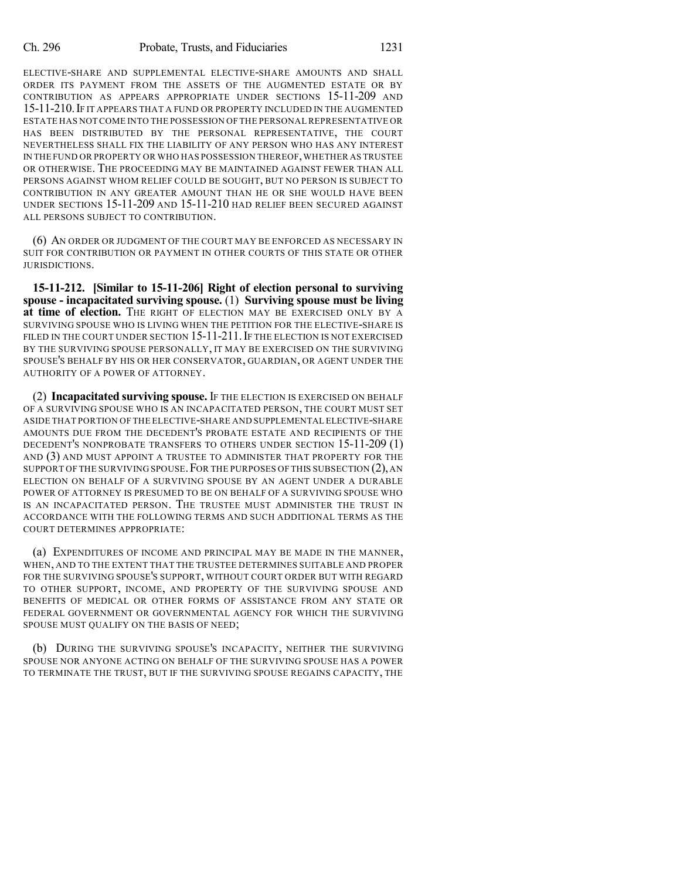ELECTIVE-SHARE AND SUPPLEMENTAL ELECTIVE-SHARE AMOUNTS AND SHALL ORDER ITS PAYMENT FROM THE ASSETS OF THE AUGMENTED ESTATE OR BY CONTRIBUTION AS APPEARS APPROPRIATE UNDER SECTIONS 15-11-209 AND 15-11-210.IF IT APPEARS THAT A FUND OR PROPERTY INCLUDED IN THE AUGMENTED ESTATE HAS NOT COME INTO THE POSSESSION OF THE PERSONALREPRESENTATIVE OR HAS BEEN DISTRIBUTED BY THE PERSONAL REPRESENTATIVE, THE COURT NEVERTHELESS SHALL FIX THE LIABILITY OF ANY PERSON WHO HAS ANY INTEREST IN THE FUND OR PROPERTY OR WHO HAS POSSESSION THEREOF,WHETHER AS TRUSTEE OR OTHERWISE. THE PROCEEDING MAY BE MAINTAINED AGAINST FEWER THAN ALL PERSONS AGAINST WHOM RELIEF COULD BE SOUGHT, BUT NO PERSON IS SUBJECT TO CONTRIBUTION IN ANY GREATER AMOUNT THAN HE OR SHE WOULD HAVE BEEN UNDER SECTIONS 15-11-209 AND 15-11-210 HAD RELIEF BEEN SECURED AGAINST ALL PERSONS SUBJECT TO CONTRIBUTION.

(6) AN ORDER OR JUDGMENT OF THE COURT MAY BE ENFORCED AS NECESSARY IN SUIT FOR CONTRIBUTION OR PAYMENT IN OTHER COURTS OF THIS STATE OR OTHER JURISDICTIONS.

**15-11-212. [Similar to 15-11-206] Right of election personal to surviving spouse - incapacitated surviving spouse.** (1) **Surviving spouse must be living at time of election.** THE RIGHT OF ELECTION MAY BE EXERCISED ONLY BY A SURVIVING SPOUSE WHO IS LIVING WHEN THE PETITION FOR THE ELECTIVE-SHARE IS FILED IN THE COURT UNDER SECTION 15-11-211. IF THE ELECTION IS NOT EXERCISED BY THE SURVIVING SPOUSE PERSONALLY, IT MAY BE EXERCISED ON THE SURVIVING SPOUSE'S BEHALF BY HIS OR HER CONSERVATOR, GUARDIAN, OR AGENT UNDER THE AUTHORITY OF A POWER OF ATTORNEY.

(2) **Incapacitated surviving spouse.** IF THE ELECTION IS EXERCISED ON BEHALF OF A SURVIVING SPOUSE WHO IS AN INCAPACITATED PERSON, THE COURT MUST SET ASIDE THAT PORTION OF THE ELECTIVE-SHARE AND SUPPLEMENTAL ELECTIVE-SHARE AMOUNTS DUE FROM THE DECEDENT'S PROBATE ESTATE AND RECIPIENTS OF THE DECEDENT'S NONPROBATE TRANSFERS TO OTHERS UNDER SECTION 15-11-209 (1) AND (3) AND MUST APPOINT A TRUSTEE TO ADMINISTER THAT PROPERTY FOR THE SUPPORT OF THE SURVIVING SPOUSE. FOR THE PURPOSES OF THIS SUBSECTION  $(2)$ , AN ELECTION ON BEHALF OF A SURVIVING SPOUSE BY AN AGENT UNDER A DURABLE POWER OF ATTORNEY IS PRESUMED TO BE ON BEHALF OF A SURVIVING SPOUSE WHO IS AN INCAPACITATED PERSON. THE TRUSTEE MUST ADMINISTER THE TRUST IN ACCORDANCE WITH THE FOLLOWING TERMS AND SUCH ADDITIONAL TERMS AS THE COURT DETERMINES APPROPRIATE:

(a) EXPENDITURES OF INCOME AND PRINCIPAL MAY BE MADE IN THE MANNER, WHEN, AND TO THE EXTENT THAT THE TRUSTEE DETERMINES SUITABLE AND PROPER FOR THE SURVIVING SPOUSE'S SUPPORT, WITHOUT COURT ORDER BUT WITH REGARD TO OTHER SUPPORT, INCOME, AND PROPERTY OF THE SURVIVING SPOUSE AND BENEFITS OF MEDICAL OR OTHER FORMS OF ASSISTANCE FROM ANY STATE OR FEDERAL GOVERNMENT OR GOVERNMENTAL AGENCY FOR WHICH THE SURVIVING SPOUSE MUST QUALIFY ON THE BASIS OF NEED;

(b) DURING THE SURVIVING SPOUSE'S INCAPACITY, NEITHER THE SURVIVING SPOUSE NOR ANYONE ACTING ON BEHALF OF THE SURVIVING SPOUSE HAS A POWER TO TERMINATE THE TRUST, BUT IF THE SURVIVING SPOUSE REGAINS CAPACITY, THE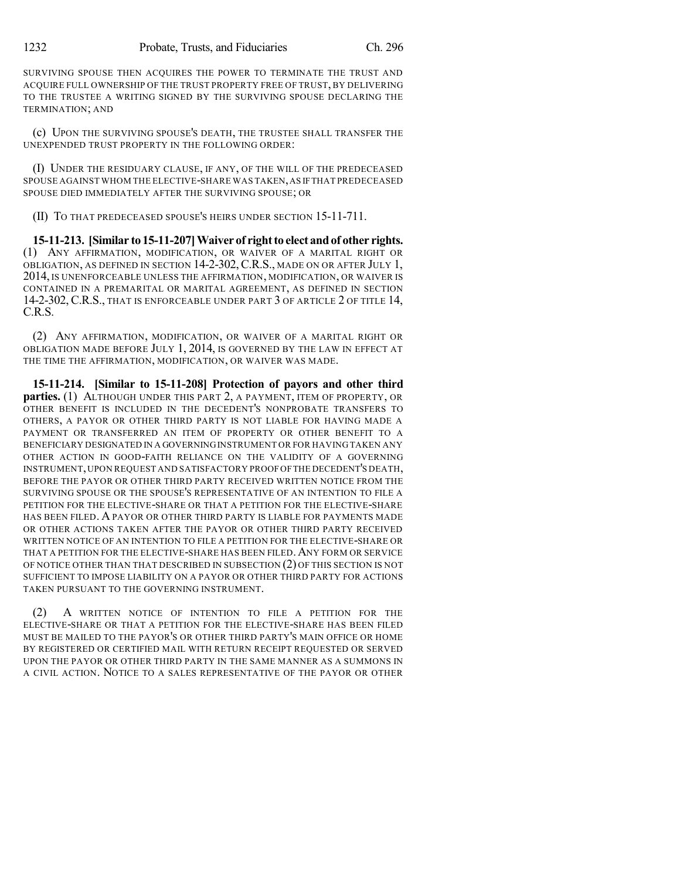SURVIVING SPOUSE THEN ACQUIRES THE POWER TO TERMINATE THE TRUST AND ACQUIRE FULL OWNERSHIP OF THE TRUST PROPERTY FREE OF TRUST, BY DELIVERING TO THE TRUSTEE A WRITING SIGNED BY THE SURVIVING SPOUSE DECLARING THE TERMINATION; AND

(c) UPON THE SURVIVING SPOUSE'S DEATH, THE TRUSTEE SHALL TRANSFER THE UNEXPENDED TRUST PROPERTY IN THE FOLLOWING ORDER:

(I) UNDER THE RESIDUARY CLAUSE, IF ANY, OF THE WILL OF THE PREDECEASED SPOUSE AGAINST WHOM THE ELECTIVE-SHARE WAS TAKEN,AS IFTHAT PREDECEASED SPOUSE DIED IMMEDIATELY AFTER THE SURVIVING SPOUSE; OR

(II) TO THAT PREDECEASED SPOUSE'S HEIRS UNDER SECTION 15-11-711.

**15-11-213. [Similar to 15-11-207]Waiver of rightto elect andof other rights.** (1) ANY AFFIRMATION, MODIFICATION, OR WAIVER OF A MARITAL RIGHT OR OBLIGATION, AS DEFINED IN SECTION 14-2-302,C.R.S., MADE ON OR AFTER JULY 1, 2014, IS UNENFORCEABLE UNLESS THE AFFIRMATION, MODIFICATION, OR WAIVER IS CONTAINED IN A PREMARITAL OR MARITAL AGREEMENT, AS DEFINED IN SECTION 14-2-302, C.R.S., THAT IS ENFORCEABLE UNDER PART 3 OF ARTICLE 2 OF TITLE 14, C.R.S.

(2) ANY AFFIRMATION, MODIFICATION, OR WAIVER OF A MARITAL RIGHT OR OBLIGATION MADE BEFORE JULY 1, 2014, IS GOVERNED BY THE LAW IN EFFECT AT THE TIME THE AFFIRMATION, MODIFICATION, OR WAIVER WAS MADE.

**15-11-214. [Similar to 15-11-208] Protection of payors and other third parties.** (1) ALTHOUGH UNDER THIS PART 2, A PAYMENT, ITEM OF PROPERTY, OR OTHER BENEFIT IS INCLUDED IN THE DECEDENT'S NONPROBATE TRANSFERS TO OTHERS, A PAYOR OR OTHER THIRD PARTY IS NOT LIABLE FOR HAVING MADE A PAYMENT OR TRANSFERRED AN ITEM OF PROPERTY OR OTHER BENEFIT TO A BENEFICIARY DESIGNATED IN A GOVERNINGINSTRUMENT OR FOR HAVING TAKEN ANY OTHER ACTION IN GOOD-FAITH RELIANCE ON THE VALIDITY OF A GOVERNING INSTRUMENT,UPON REQUEST AND SATISFACTORY PROOFOFTHE DECEDENT'S DEATH, BEFORE THE PAYOR OR OTHER THIRD PARTY RECEIVED WRITTEN NOTICE FROM THE SURVIVING SPOUSE OR THE SPOUSE'S REPRESENTATIVE OF AN INTENTION TO FILE A PETITION FOR THE ELECTIVE-SHARE OR THAT A PETITION FOR THE ELECTIVE-SHARE HAS BEEN FILED. A PAYOR OR OTHER THIRD PARTY IS LIABLE FOR PAYMENTS MADE OR OTHER ACTIONS TAKEN AFTER THE PAYOR OR OTHER THIRD PARTY RECEIVED WRITTEN NOTICE OF AN INTENTION TO FILE A PETITION FOR THE ELECTIVE-SHARE OR THAT A PETITION FOR THE ELECTIVE-SHARE HAS BEEN FILED.ANY FORM OR SERVICE OF NOTICE OTHER THAN THAT DESCRIBED IN SUBSECTION (2) OF THIS SECTION IS NOT SUFFICIENT TO IMPOSE LIABILITY ON A PAYOR OR OTHER THIRD PARTY FOR ACTIONS TAKEN PURSUANT TO THE GOVERNING INSTRUMENT.

(2) A WRITTEN NOTICE OF INTENTION TO FILE A PETITION FOR THE ELECTIVE-SHARE OR THAT A PETITION FOR THE ELECTIVE-SHARE HAS BEEN FILED MUST BE MAILED TO THE PAYOR'S OR OTHER THIRD PARTY'S MAIN OFFICE OR HOME BY REGISTERED OR CERTIFIED MAIL WITH RETURN RECEIPT REQUESTED OR SERVED UPON THE PAYOR OR OTHER THIRD PARTY IN THE SAME MANNER AS A SUMMONS IN A CIVIL ACTION. NOTICE TO A SALES REPRESENTATIVE OF THE PAYOR OR OTHER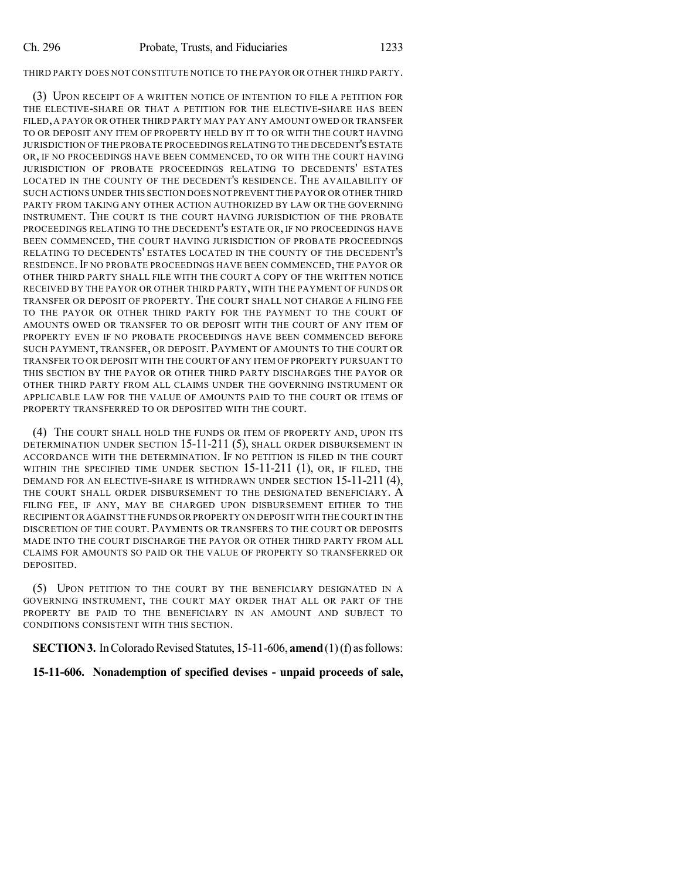#### THIRD PARTY DOES NOT CONSTITUTE NOTICE TO THE PAYOR OR OTHER THIRD PARTY.

(3) UPON RECEIPT OF A WRITTEN NOTICE OF INTENTION TO FILE A PETITION FOR THE ELECTIVE-SHARE OR THAT A PETITION FOR THE ELECTIVE-SHARE HAS BEEN FILED, A PAYOR OR OTHER THIRD PARTY MAY PAY ANY AMOUNT OWED OR TRANSFER TO OR DEPOSIT ANY ITEM OF PROPERTY HELD BY IT TO OR WITH THE COURT HAVING JURISDICTION OF THE PROBATE PROCEEDINGS RELATING TO THE DECEDENT'S ESTATE OR, IF NO PROCEEDINGS HAVE BEEN COMMENCED, TO OR WITH THE COURT HAVING JURISDICTION OF PROBATE PROCEEDINGS RELATING TO DECEDENTS' ESTATES LOCATED IN THE COUNTY OF THE DECEDENT'S RESIDENCE. THE AVAILABILITY OF SUCH ACTIONS UNDER THIS SECTION DOES NOT PREVENT THE PAYOR OR OTHER THIRD PARTY FROM TAKING ANY OTHER ACTION AUTHORIZED BY LAW OR THE GOVERNING INSTRUMENT. THE COURT IS THE COURT HAVING JURISDICTION OF THE PROBATE PROCEEDINGS RELATING TO THE DECEDENT'S ESTATE OR, IF NO PROCEEDINGS HAVE BEEN COMMENCED, THE COURT HAVING JURISDICTION OF PROBATE PROCEEDINGS RELATING TO DECEDENTS' ESTATES LOCATED IN THE COUNTY OF THE DECEDENT'S RESIDENCE.IF NO PROBATE PROCEEDINGS HAVE BEEN COMMENCED, THE PAYOR OR OTHER THIRD PARTY SHALL FILE WITH THE COURT A COPY OF THE WRITTEN NOTICE RECEIVED BY THE PAYOR OR OTHER THIRD PARTY, WITH THE PAYMENT OF FUNDS OR TRANSFER OR DEPOSIT OF PROPERTY. THE COURT SHALL NOT CHARGE A FILING FEE TO THE PAYOR OR OTHER THIRD PARTY FOR THE PAYMENT TO THE COURT OF AMOUNTS OWED OR TRANSFER TO OR DEPOSIT WITH THE COURT OF ANY ITEM OF PROPERTY EVEN IF NO PROBATE PROCEEDINGS HAVE BEEN COMMENCED BEFORE SUCH PAYMENT, TRANSFER, OR DEPOSIT. PAYMENT OF AMOUNTS TO THE COURT OR TRANSFER TO OR DEPOSIT WITH THE COURT OF ANY ITEM OF PROPERTY PURSUANT TO THIS SECTION BY THE PAYOR OR OTHER THIRD PARTY DISCHARGES THE PAYOR OR OTHER THIRD PARTY FROM ALL CLAIMS UNDER THE GOVERNING INSTRUMENT OR APPLICABLE LAW FOR THE VALUE OF AMOUNTS PAID TO THE COURT OR ITEMS OF PROPERTY TRANSFERRED TO OR DEPOSITED WITH THE COURT.

(4) THE COURT SHALL HOLD THE FUNDS OR ITEM OF PROPERTY AND, UPON ITS DETERMINATION UNDER SECTION 15-11-211 (5), SHALL ORDER DISBURSEMENT IN ACCORDANCE WITH THE DETERMINATION. IF NO PETITION IS FILED IN THE COURT WITHIN THE SPECIFIED TIME UNDER SECTION  $15-11-211$  (1), OR, IF FILED, THE DEMAND FOR AN ELECTIVE-SHARE IS WITHDRAWN UNDER SECTION 15-11-211 (4), THE COURT SHALL ORDER DISBURSEMENT TO THE DESIGNATED BENEFICIARY. A FILING FEE, IF ANY, MAY BE CHARGED UPON DISBURSEMENT EITHER TO THE RECIPIENT OR AGAINST THE FUNDS OR PROPERTY ON DEPOSIT WITH THE COURT IN THE DISCRETION OF THE COURT. PAYMENTS OR TRANSFERS TO THE COURT OR DEPOSITS MADE INTO THE COURT DISCHARGE THE PAYOR OR OTHER THIRD PARTY FROM ALL CLAIMS FOR AMOUNTS SO PAID OR THE VALUE OF PROPERTY SO TRANSFERRED OR DEPOSITED.

(5) UPON PETITION TO THE COURT BY THE BENEFICIARY DESIGNATED IN A GOVERNING INSTRUMENT, THE COURT MAY ORDER THAT ALL OR PART OF THE PROPERTY BE PAID TO THE BENEFICIARY IN AN AMOUNT AND SUBJECT TO CONDITIONS CONSISTENT WITH THIS SECTION.

**SECTION 3.** In Colorado Revised Statutes, 15-11-606, **amend** (1)(f) as follows:

### **15-11-606. Nonademption of specified devises - unpaid proceeds of sale,**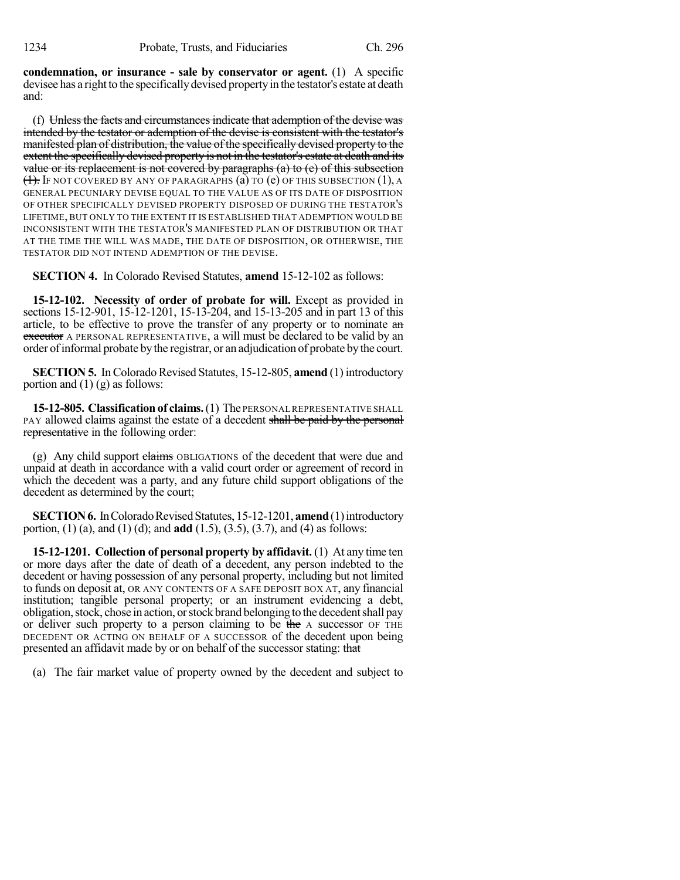**condemnation, or insurance - sale by conservator or agent.** (1) A specific devisee has a right to the specifically devised property in the testator's estate at death and:

(f) Unlessthe facts and circumstancesindicate that ademption of the devise was intended by the testator or ademption of the devise is consistent with the testator's manifested plan of distribution, the value of the specifically devised property to the extent the specifically devised property is not in the testator's estate at death and its value or its replacement is not covered by paragraphs (a) to (e) of this subsection  $(1)$ . If not covered by any of paragraphs (a) to (e) of this subsection  $(1)$ , a GENERAL PECUNIARY DEVISE EQUAL TO THE VALUE AS OF ITS DATE OF DISPOSITION OF OTHER SPECIFICALLY DEVISED PROPERTY DISPOSED OF DURING THE TESTATOR'S LIFETIME, BUT ONLY TO THE EXTENT IT IS ESTABLISHED THAT ADEMPTION WOULD BE INCONSISTENT WITH THE TESTATOR'S MANIFESTED PLAN OF DISTRIBUTION OR THAT AT THE TIME THE WILL WAS MADE, THE DATE OF DISPOSITION, OR OTHERWISE, THE TESTATOR DID NOT INTEND ADEMPTION OF THE DEVISE.

**SECTION 4.** In Colorado Revised Statutes, **amend** 15-12-102 as follows:

**15-12-102. Necessity of order of probate for will.** Except as provided in sections 15-12-901, 15-12-1201, 15-13-204, and 15-13-205 and in part 13 of this article, to be effective to prove the transfer of any property or to nominate an executor A PERSONAL REPRESENTATIVE, a will must be declared to be valid by an order of informal probate by the registrar, or an adjudication of probate by the court.

**SECTION 5.** In Colorado Revised Statutes, 15-12-805, **amend** (1) introductory portion and (1) (g) as follows:

15-12-805. Classification of claims. (1) The PERSONAL REPRESENTATIVE SHALL PAY allowed claims against the estate of a decedent shall be paid by the personal representative in the following order:

(g) Any child support elaims OBLIGATIONS of the decedent that were due and unpaid at death in accordance with a valid court order or agreement of record in which the decedent was a party, and any future child support obligations of the decedent as determined by the court;

**SECTION 6.** In Colorado Revised Statutes, 15-12-1201, **amend** (1) introductory portion, (1) (a), and (1) (d); and **add** (1.5), (3.5), (3.7), and (4) as follows:

**15-12-1201. Collection of personal property by affidavit.** (1) At any time ten or more days after the date of death of a decedent, any person indebted to the decedent or having possession of any personal property, including but not limited to funds on deposit at, OR ANY CONTENTS OF A SAFE DEPOSIT BOX AT, any financial institution; tangible personal property; or an instrument evidencing a debt, obligation, stock, chose in action, or stock brand belonging to the decedent shall pay or deliver such property to a person claiming to be the A successor OF THE DECEDENT OR ACTING ON BEHALF OF A SUCCESSOR of the decedent upon being presented an affidavit made by or on behalf of the successor stating: that

(a) The fair market value of property owned by the decedent and subject to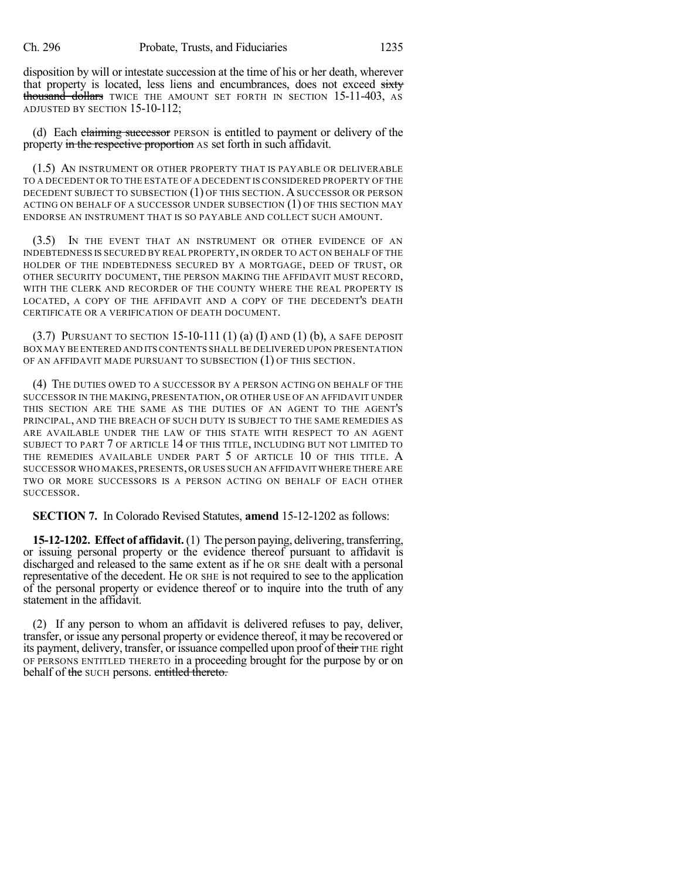disposition by will or intestate succession at the time of his or her death, wherever that property is located, less liens and encumbrances, does not exceed sixty thousand dollars TWICE THE AMOUNT SET FORTH IN SECTION 15-11-403, AS ADJUSTED BY SECTION 15-10-112;

(d) Each claiming successor PERSON is entitled to payment or delivery of the property in the respective proportion AS set forth in such affidavit.

(1.5) AN INSTRUMENT OR OTHER PROPERTY THAT IS PAYABLE OR DELIVERABLE TO A DECEDENT OR TO THE ESTATE OF A DECEDENT IS CONSIDERED PROPERTY OF THE DECEDENT SUBJECT TO SUBSECTION (1) OF THIS SECTION. ASUCCESSOR OR PERSON ACTING ON BEHALF OF A SUCCESSOR UNDER SUBSECTION (1) OF THIS SECTION MAY ENDORSE AN INSTRUMENT THAT IS SO PAYABLE AND COLLECT SUCH AMOUNT.

(3.5) IN THE EVENT THAT AN INSTRUMENT OR OTHER EVIDENCE OF AN INDEBTEDNESS IS SECURED BY REAL PROPERTY, IN ORDER TO ACT ON BEHALF OF THE HOLDER OF THE INDEBTEDNESS SECURED BY A MORTGAGE, DEED OF TRUST, OR OTHER SECURITY DOCUMENT, THE PERSON MAKING THE AFFIDAVIT MUST RECORD, WITH THE CLERK AND RECORDER OF THE COUNTY WHERE THE REAL PROPERTY IS LOCATED, A COPY OF THE AFFIDAVIT AND A COPY OF THE DECEDENT'S DEATH CERTIFICATE OR A VERIFICATION OF DEATH DOCUMENT.

 $(3.7)$  PURSUANT TO SECTION 15-10-111  $(1)$   $(a)$   $(I)$  and  $(1)$   $(b)$ , a safe deposit BOX MAY BE ENTERED AND ITS CONTENTS SHALL BE DELIVERED UPON PRESENTATION OF AN AFFIDAVIT MADE PURSUANT TO SUBSECTION (1) OF THIS SECTION.

(4) THE DUTIES OWED TO A SUCCESSOR BY A PERSON ACTING ON BEHALF OF THE SUCCESSOR IN THE MAKING, PRESENTATION, OR OTHER USE OF AN AFFIDAVIT UNDER THIS SECTION ARE THE SAME AS THE DUTIES OF AN AGENT TO THE AGENT'S PRINCIPAL, AND THE BREACH OF SUCH DUTY IS SUBJECT TO THE SAME REMEDIES AS ARE AVAILABLE UNDER THE LAW OF THIS STATE WITH RESPECT TO AN AGENT SUBJECT TO PART 7 OF ARTICLE 14 OF THIS TITLE, INCLUDING BUT NOT LIMITED TO THE REMEDIES AVAILABLE UNDER PART 5 OF ARTICLE 10 OF THIS TITLE. A SUCCESSOR WHO MAKES,PRESENTS, OR USES SUCH AN AFFIDAVIT WHERE THERE ARE TWO OR MORE SUCCESSORS IS A PERSON ACTING ON BEHALF OF EACH OTHER SUCCESSOR.

**SECTION 7.** In Colorado Revised Statutes, **amend** 15-12-1202 as follows:

**15-12-1202. Effect of affidavit.**(1) The person paying, delivering, transferring, or issuing personal property or the evidence thereof pursuant to affidavit is discharged and released to the same extent as if he OR SHE dealt with a personal representative of the decedent. He OR SHE is not required to see to the application of the personal property or evidence thereof or to inquire into the truth of any statement in the affidavit.

(2) If any person to whom an affidavit is delivered refuses to pay, deliver, transfer, or issue any personal property or evidence thereof, it may be recovered or its payment, delivery, transfer, or issuance compelled upon proof of their THE right OF PERSONS ENTITLED THERETO in a proceeding brought for the purpose by or on behalf of the SUCH persons. entitled thereto.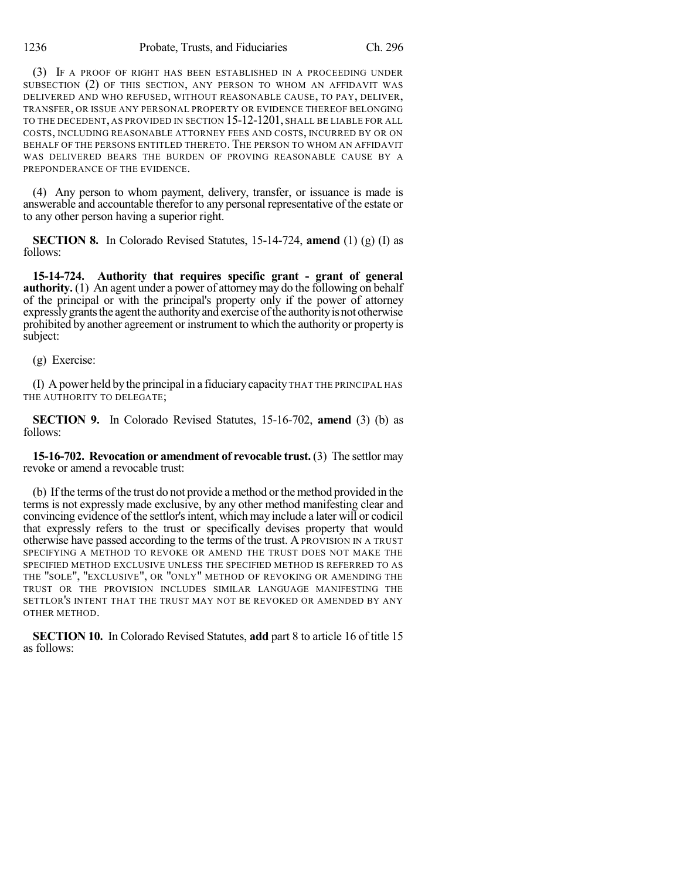(3) IF A PROOF OF RIGHT HAS BEEN ESTABLISHED IN A PROCEEDING UNDER SUBSECTION (2) OF THIS SECTION, ANY PERSON TO WHOM AN AFFIDAVIT WAS DELIVERED AND WHO REFUSED, WITHOUT REASONABLE CAUSE, TO PAY, DELIVER, TRANSFER, OR ISSUE ANY PERSONAL PROPERTY OR EVIDENCE THEREOF BELONGING TO THE DECEDENT, AS PROVIDED IN SECTION 15-12-1201, SHALL BE LIABLE FOR ALL COSTS, INCLUDING REASONABLE ATTORNEY FEES AND COSTS, INCURRED BY OR ON BEHALF OF THE PERSONS ENTITLED THERETO. THE PERSON TO WHOM AN AFFIDAVIT WAS DELIVERED BEARS THE BURDEN OF PROVING REASONABLE CAUSE BY A PREPONDERANCE OF THE EVIDENCE.

(4) Any person to whom payment, delivery, transfer, or issuance is made is answerable and accountable therefor to any personal representative of the estate or to any other person having a superior right.

**SECTION 8.** In Colorado Revised Statutes, 15-14-724, **amend** (1) (g) (I) as follows:

**15-14-724. Authority that requires specific grant - grant of general authority.** (1) An agent under a power of attorney may do the following on behalf of the principal or with the principal's property only if the power of attorney expressly grants the agent the authority and exercise of the authority is not otherwise prohibited by another agreement or instrument to which the authority or property is subject:

(g) Exercise:

(I) A power held by the principal in a fiduciarycapacity THAT THE PRINCIPAL HAS THE AUTHORITY TO DELEGATE;

**SECTION 9.** In Colorado Revised Statutes, 15-16-702, **amend** (3) (b) as follows:

**15-16-702. Revocation or amendment of revocable trust.** (3) The settlor may revoke or amend a revocable trust:

(b) If the terms of the trust do not provide amethod orthemethod provided in the terms is not expressly made exclusive, by any other method manifesting clear and convincing evidence of the settlor's intent, which may include a later will or codicil that expressly refers to the trust or specifically devises property that would otherwise have passed according to the terms of the trust. A PROVISION IN A TRUST SPECIFYING A METHOD TO REVOKE OR AMEND THE TRUST DOES NOT MAKE THE SPECIFIED METHOD EXCLUSIVE UNLESS THE SPECIFIED METHOD IS REFERRED TO AS THE "SOLE", "EXCLUSIVE", OR "ONLY" METHOD OF REVOKING OR AMENDING THE TRUST OR THE PROVISION INCLUDES SIMILAR LANGUAGE MANIFESTING THE SETTLOR'S INTENT THAT THE TRUST MAY NOT BE REVOKED OR AMENDED BY ANY OTHER METHOD.

**SECTION 10.** In Colorado Revised Statutes, **add** part 8 to article 16 of title 15 as follows: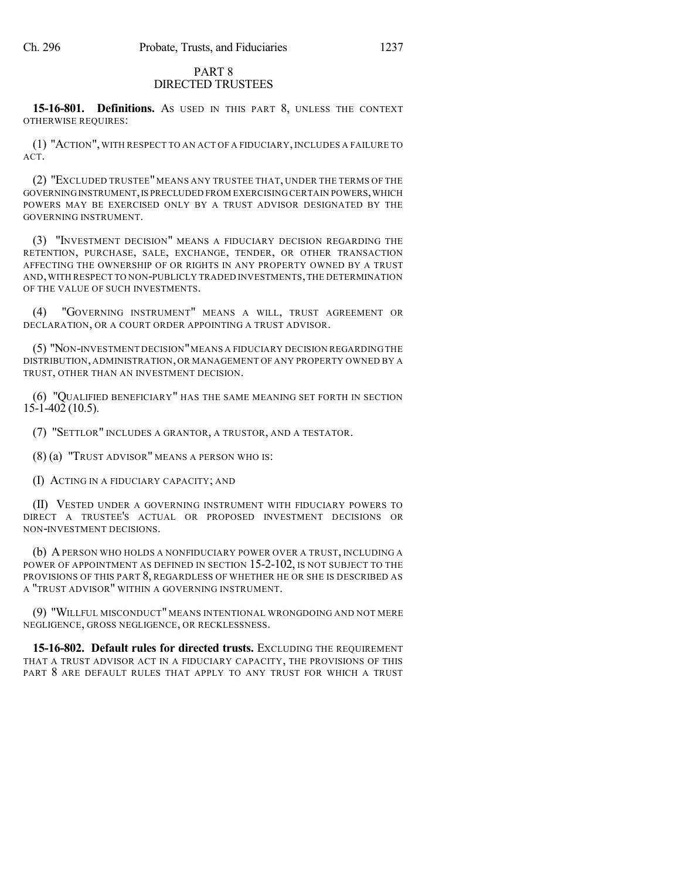#### PART 8 DIRECTED TRUSTEES

**15-16-801. Definitions.** AS USED IN THIS PART 8, UNLESS THE CONTEXT OTHERWISE REQUIRES:

(1) "ACTION", WITH RESPECT TO AN ACT OF A FIDUCIARY, INCLUDES A FAILURE TO ACT.

(2) "EXCLUDED TRUSTEE" MEANS ANY TRUSTEE THAT, UNDER THE TERMS OF THE GOVERNING INSTRUMENT, IS PRECLUDED FROM EXERCISING CERTAIN POWERS, WHICH POWERS MAY BE EXERCISED ONLY BY A TRUST ADVISOR DESIGNATED BY THE GOVERNING INSTRUMENT.

(3) "INVESTMENT DECISION" MEANS A FIDUCIARY DECISION REGARDING THE RETENTION, PURCHASE, SALE, EXCHANGE, TENDER, OR OTHER TRANSACTION AFFECTING THE OWNERSHIP OF OR RIGHTS IN ANY PROPERTY OWNED BY A TRUST AND,WITH RESPECT TO NON-PUBLICLY TRADED INVESTMENTS,THE DETERMINATION OF THE VALUE OF SUCH INVESTMENTS.

(4) "GOVERNING INSTRUMENT" MEANS A WILL, TRUST AGREEMENT OR DECLARATION, OR A COURT ORDER APPOINTING A TRUST ADVISOR.

(5) "NON-INVESTMENT DECISION"MEANS A FIDUCIARY DECISION REGARDING THE DISTRIBUTION, ADMINISTRATION, OR MANAGEMENT OF ANY PROPERTY OWNED BY A TRUST, OTHER THAN AN INVESTMENT DECISION.

(6) "QUALIFIED BENEFICIARY" HAS THE SAME MEANING SET FORTH IN SECTION 15-1-402 (10.5).

(7) "SETTLOR" INCLUDES A GRANTOR, A TRUSTOR, AND A TESTATOR.

(8) (a) "TRUST ADVISOR" MEANS A PERSON WHO IS:

(I) ACTING IN A FIDUCIARY CAPACITY; AND

(II) VESTED UNDER A GOVERNING INSTRUMENT WITH FIDUCIARY POWERS TO DIRECT A TRUSTEE'S ACTUAL OR PROPOSED INVESTMENT DECISIONS OR NON-INVESTMENT DECISIONS.

(b) APERSON WHO HOLDS A NONFIDUCIARY POWER OVER A TRUST, INCLUDING A POWER OF APPOINTMENT AS DEFINED IN SECTION 15-2-102, IS NOT SUBJECT TO THE PROVISIONS OF THIS PART 8, REGARDLESS OF WHETHER HE OR SHE IS DESCRIBED AS A "TRUST ADVISOR" WITHIN A GOVERNING INSTRUMENT.

(9) "WILLFUL MISCONDUCT" MEANS INTENTIONAL WRONGDOING AND NOT MERE NEGLIGENCE, GROSS NEGLIGENCE, OR RECKLESSNESS.

**15-16-802. Default rules for directed trusts.** EXCLUDING THE REQUIREMENT THAT A TRUST ADVISOR ACT IN A FIDUCIARY CAPACITY, THE PROVISIONS OF THIS PART 8 ARE DEFAULT RULES THAT APPLY TO ANY TRUST FOR WHICH A TRUST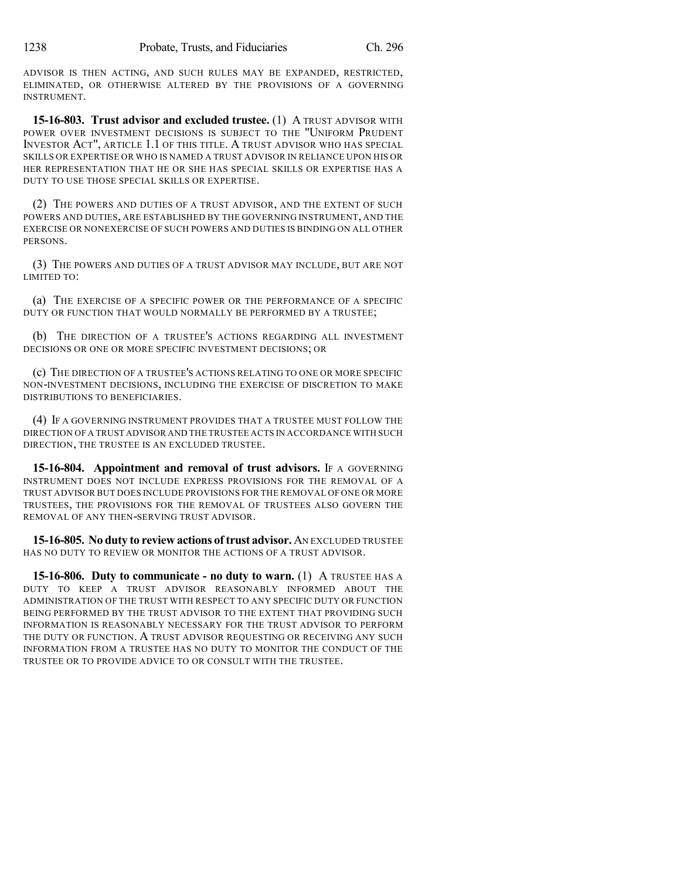ADVISOR IS THEN ACTING, AND SUCH RULES MAY BE EXPANDED, RESTRICTED, ELIMINATED, OR OTHERWISE ALTERED BY THE PROVISIONS OF A GOVERNING INSTRUMENT.

**15-16-803. Trust advisor and excluded trustee.** (1) A TRUST ADVISOR WITH POWER OVER INVESTMENT DECISIONS IS SUBJECT TO THE "UNIFORM PRUDENT INVESTOR ACT", ARTICLE 1.1 OF THIS TITLE. A TRUST ADVISOR WHO HAS SPECIAL SKILLS OR EXPERTISE OR WHO IS NAMED A TRUST ADVISOR IN RELIANCE UPON HIS OR HER REPRESENTATION THAT HE OR SHE HAS SPECIAL SKILLS OR EXPERTISE HAS A DUTY TO USE THOSE SPECIAL SKILLS OR EXPERTISE.

(2) THE POWERS AND DUTIES OF A TRUST ADVISOR, AND THE EXTENT OF SUCH POWERS AND DUTIES, ARE ESTABLISHED BY THE GOVERNING INSTRUMENT, AND THE EXERCISE OR NONEXERCISE OF SUCH POWERS AND DUTIES IS BINDING ON ALL OTHER PERSONS.

(3) THE POWERS AND DUTIES OF A TRUST ADVISOR MAY INCLUDE, BUT ARE NOT LIMITED TO:

(a) THE EXERCISE OF A SPECIFIC POWER OR THE PERFORMANCE OF A SPECIFIC DUTY OR FUNCTION THAT WOULD NORMALLY BE PERFORMED BY A TRUSTEE;

(b) THE DIRECTION OF A TRUSTEE'S ACTIONS REGARDING ALL INVESTMENT DECISIONS OR ONE OR MORE SPECIFIC INVESTMENT DECISIONS; OR

(c) THE DIRECTION OF A TRUSTEE'S ACTIONS RELATING TO ONE OR MORE SPECIFIC NON-INVESTMENT DECISIONS, INCLUDING THE EXERCISE OF DISCRETION TO MAKE DISTRIBUTIONS TO BENEFICIARIES.

(4) IF A GOVERNING INSTRUMENT PROVIDES THAT A TRUSTEE MUST FOLLOW THE DIRECTION OF A TRUST ADVISOR AND THE TRUSTEE ACTS IN ACCORDANCE WITH SUCH DIRECTION, THE TRUSTEE IS AN EXCLUDED TRUSTEE.

**15-16-804. Appointment and removal of trust advisors.** IF A GOVERNING INSTRUMENT DOES NOT INCLUDE EXPRESS PROVISIONS FOR THE REMOVAL OF A TRUST ADVISOR BUT DOES INCLUDE PROVISIONS FOR THE REMOVAL OF ONE OR MORE TRUSTEES, THE PROVISIONS FOR THE REMOVAL OF TRUSTEES ALSO GOVERN THE REMOVAL OF ANY THEN-SERVING TRUST ADVISOR.

**15-16-805. No duty to review actions oftrust advisor.** AN EXCLUDED TRUSTEE HAS NO DUTY TO REVIEW OR MONITOR THE ACTIONS OF A TRUST ADVISOR.

**15-16-806. Duty to communicate - no duty to warn.** (1) A TRUSTEE HAS A DUTY TO KEEP A TRUST ADVISOR REASONABLY INFORMED ABOUT THE ADMINISTRATION OF THE TRUST WITH RESPECT TO ANY SPECIFIC DUTY OR FUNCTION BEING PERFORMED BY THE TRUST ADVISOR TO THE EXTENT THAT PROVIDING SUCH INFORMATION IS REASONABLY NECESSARY FOR THE TRUST ADVISOR TO PERFORM THE DUTY OR FUNCTION. A TRUST ADVISOR REQUESTING OR RECEIVING ANY SUCH INFORMATION FROM A TRUSTEE HAS NO DUTY TO MONITOR THE CONDUCT OF THE TRUSTEE OR TO PROVIDE ADVICE TO OR CONSULT WITH THE TRUSTEE.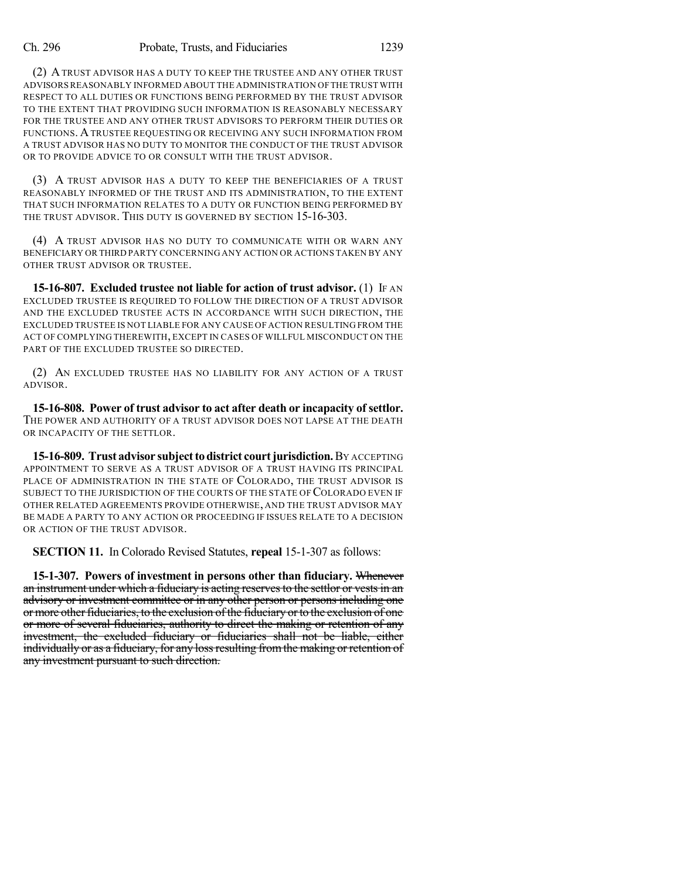(2) ATRUST ADVISOR HAS A DUTY TO KEEP THE TRUSTEE AND ANY OTHER TRUST ADVISORSREASONABLY INFORMED ABOUT THE ADMINISTRATION OFTHE TRUST WITH RESPECT TO ALL DUTIES OR FUNCTIONS BEING PERFORMED BY THE TRUST ADVISOR TO THE EXTENT THAT PROVIDING SUCH INFORMATION IS REASONABLY NECESSARY FOR THE TRUSTEE AND ANY OTHER TRUST ADVISORS TO PERFORM THEIR DUTIES OR FUNCTIONS. ATRUSTEE REQUESTING OR RECEIVING ANY SUCH INFORMATION FROM A TRUST ADVISOR HAS NO DUTY TO MONITOR THE CONDUCT OF THE TRUST ADVISOR OR TO PROVIDE ADVICE TO OR CONSULT WITH THE TRUST ADVISOR.

(3) A TRUST ADVISOR HAS A DUTY TO KEEP THE BENEFICIARIES OF A TRUST REASONABLY INFORMED OF THE TRUST AND ITS ADMINISTRATION, TO THE EXTENT THAT SUCH INFORMATION RELATES TO A DUTY OR FUNCTION BEING PERFORMED BY THE TRUST ADVISOR. THIS DUTY IS GOVERNED BY SECTION 15-16-303.

(4) A TRUST ADVISOR HAS NO DUTY TO COMMUNICATE WITH OR WARN ANY BENEFICIARY OR THIRD PARTY CONCERNING ANY ACTION OR ACTIONS TAKEN BY ANY OTHER TRUST ADVISOR OR TRUSTEE.

**15-16-807. Excluded trustee not liable for action of trust advisor.** (1) IF AN EXCLUDED TRUSTEE IS REQUIRED TO FOLLOW THE DIRECTION OF A TRUST ADVISOR AND THE EXCLUDED TRUSTEE ACTS IN ACCORDANCE WITH SUCH DIRECTION, THE EXCLUDED TRUSTEE IS NOT LIABLE FOR ANY CAUSE OF ACTION RESULTING FROM THE ACT OF COMPLYING THEREWITH, EXCEPT IN CASES OF WILLFUL MISCONDUCT ON THE PART OF THE EXCLUDED TRUSTEE SO DIRECTED.

(2) AN EXCLUDED TRUSTEE HAS NO LIABILITY FOR ANY ACTION OF A TRUST ADVISOR.

**15-16-808. Power of trust advisor to act after death or incapacity of settlor.** THE POWER AND AUTHORITY OF A TRUST ADVISOR DOES NOT LAPSE AT THE DEATH OR INCAPACITY OF THE SETTLOR.

**15-16-809. Trust advisor subject to district court jurisdiction.** By ACCEPTING APPOINTMENT TO SERVE AS A TRUST ADVISOR OF A TRUST HAVING ITS PRINCIPAL PLACE OF ADMINISTRATION IN THE STATE OF COLORADO, THE TRUST ADVISOR IS SUBJECT TO THE JURISDICTION OF THE COURTS OF THE STATE OF COLORADO EVEN IF OTHER RELATED AGREEMENTS PROVIDE OTHERWISE, AND THE TRUST ADVISOR MAY BE MADE A PARTY TO ANY ACTION OR PROCEEDING IF ISSUES RELATE TO A DECISION OR ACTION OF THE TRUST ADVISOR.

**SECTION 11.** In Colorado Revised Statutes, **repeal** 15-1-307 as follows:

**15-1-307. Powers of investment in persons other than fiduciary.** Whenever an instrument under which a fiduciary is acting reserves to the settlor or vests in an advisory or investment committee or in any other person or persons including one or more other fiduciaries, to the exclusion of the fiduciary or to the exclusion of one or more of several fiduciaries, authority to direct the making or retention of any investment, the excluded fiduciary or fiduciaries shall not be liable, either individually or as a fiduciary, for any loss resulting from the making or retention of any investment pursuant to such direction.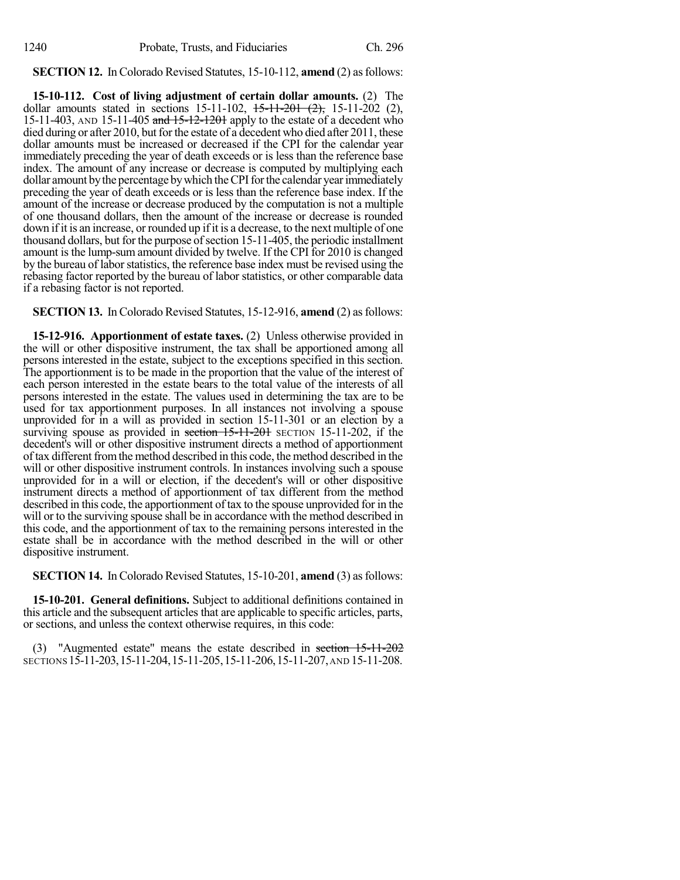### **SECTION 12.** In Colorado Revised Statutes, 15-10-112, **amend** (2) as follows:

**15-10-112. Cost of living adjustment of certain dollar amounts.** (2) The dollar amounts stated in sections  $15-11-102$ ,  $15-11-201$   $(2)$ ,  $15-11-202$   $(2)$ , 15-11-403, AND 15-11-405 and 15-12-1201 apply to the estate of a decedent who died during or after 2010, but for the estate of a decedent who died after 2011, these dollar amounts must be increased or decreased if the CPI for the calendar year immediately preceding the year of death exceeds or is less than the reference base index. The amount of any increase or decrease is computed by multiplying each dollar amount by the percentage by which the CPI for the calendar year immediately preceding the year of death exceeds or is less than the reference base index. If the amount of the increase or decrease produced by the computation is not a multiple of one thousand dollars, then the amount of the increase or decrease is rounded down if it is an increase, or rounded up if it is a decrease, to the next multiple of one thousand dollars, but for the purpose of section 15-11-405, the periodic installment amount is the lump-sum amount divided by twelve. If the CPI for 2010 is changed by the bureau of labor statistics, the reference base index must be revised using the rebasing factor reported by the bureau of labor statistics, or other comparable data if a rebasing factor is not reported.

**SECTION 13.** In Colorado Revised Statutes, 15-12-916, **amend** (2) as follows:

**15-12-916. Apportionment of estate taxes.** (2) Unless otherwise provided in the will or other dispositive instrument, the tax shall be apportioned among all persons interested in the estate, subject to the exceptions specified in this section. The apportionment is to be made in the proportion that the value of the interest of each person interested in the estate bears to the total value of the interests of all persons interested in the estate. The values used in determining the tax are to be used for tax apportionment purposes. In all instances not involving a spouse unprovided for in a will as provided in section 15-11-301 or an election by a surviving spouse as provided in section 15-11-201 SECTION 15-11-202, if the decedent's will or other dispositive instrument directs a method of apportionment of tax different fromthe method described in this code, the method described in the will or other dispositive instrument controls. In instances involving such a spouse unprovided for in a will or election, if the decedent's will or other dispositive instrument directs a method of apportionment of tax different from the method described in this code, the apportionment of tax to the spouse unprovided for in the will or to the surviving spouse shall be in accordance with the method described in this code, and the apportionment of tax to the remaining persons interested in the estate shall be in accordance with the method described in the will or other dispositive instrument.

**SECTION 14.** In Colorado Revised Statutes, 15-10-201, **amend** (3) as follows:

**15-10-201. General definitions.** Subject to additional definitions contained in this article and the subsequent articles that are applicable to specific articles, parts, or sections, and unless the context otherwise requires, in this code:

(3) "Augmented estate" means the estate described in section 15-11-202 SECTIONS 15-11-203,15-11-204,15-11-205,15-11-206,15-11-207,AND 15-11-208.